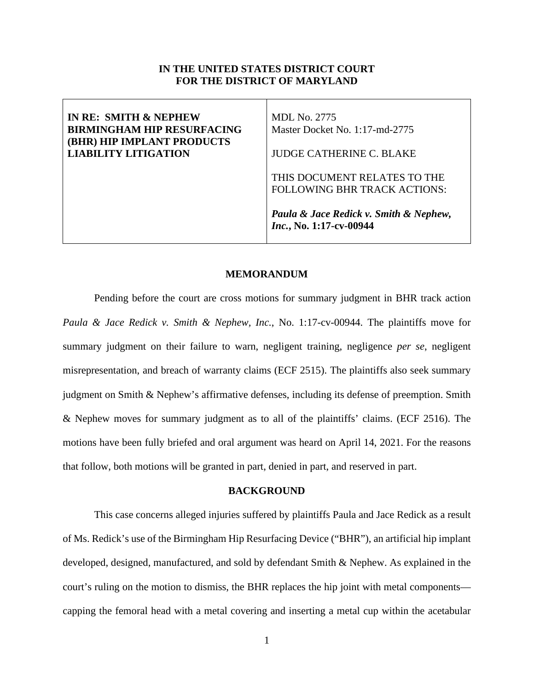## **IN THE UNITED STATES DISTRICT COURT FOR THE DISTRICT OF MARYLAND**

| IN RE: SMITH & NEPHEW<br><b>BIRMINGHAM HIP RESURFACING</b><br><b>(BHR) HIP IMPLANT PRODUCTS</b> | <b>MDL</b> No. 2775<br>Master Docket No. 1:17-md-2775               |
|-------------------------------------------------------------------------------------------------|---------------------------------------------------------------------|
| <b>LIABILITY LITIGATION</b>                                                                     | <b>JUDGE CATHERINE C. BLAKE</b>                                     |
|                                                                                                 | THIS DOCUMENT RELATES TO THE<br><b>FOLLOWING BHR TRACK ACTIONS:</b> |
|                                                                                                 | Paula & Jace Redick v. Smith & Nephew,<br>Inc., No. 1:17-cv-00944   |

### **MEMORANDUM**

Pending before the court are cross motions for summary judgment in BHR track action *Paula & Jace Redick v. Smith & Nephew, Inc.*, No. 1:17-cv-00944. The plaintiffs move for summary judgment on their failure to warn, negligent training, negligence *per se*, negligent misrepresentation, and breach of warranty claims (ECF 2515). The plaintiffs also seek summary judgment on Smith & Nephew's affirmative defenses, including its defense of preemption. Smith & Nephew moves for summary judgment as to all of the plaintiffs' claims. (ECF 2516). The motions have been fully briefed and oral argument was heard on April 14, 2021. For the reasons that follow, both motions will be granted in part, denied in part, and reserved in part.

## **BACKGROUND**

This case concerns alleged injuries suffered by plaintiffs Paula and Jace Redick as a result of Ms. Redick's use of the Birmingham Hip Resurfacing Device ("BHR"), an artificial hip implant developed, designed, manufactured, and sold by defendant Smith & Nephew. As explained in the court's ruling on the motion to dismiss, the BHR replaces the hip joint with metal components capping the femoral head with a metal covering and inserting a metal cup within the acetabular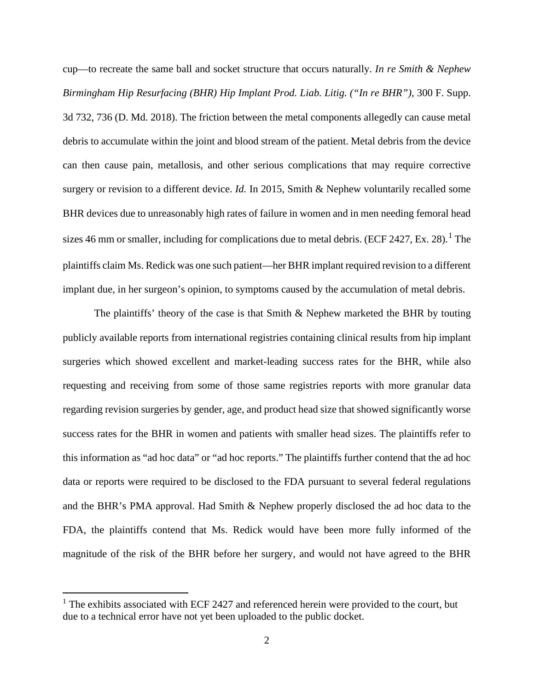cup—to recreate the same ball and socket structure that occurs naturally. *In re Smith & Nephew Birmingham Hip Resurfacing (BHR) Hip Implant Prod. Liab. Litig. ("In re BHR")*, 300 F. Supp. 3d 732, 736 (D. Md. 2018). The friction between the metal components allegedly can cause metal debris to accumulate within the joint and blood stream of the patient. Metal debris from the device can then cause pain, metallosis, and other serious complications that may require corrective surgery or revision to a different device. *Id.* In 2015, Smith & Nephew voluntarily recalled some BHR devices due to unreasonably high rates of failure in women and in men needing femoral head sizes 46 mm or smaller, including for complications due to metal debris. (ECF 2427, Ex. 28).<sup>[1](#page-1-0)</sup> The plaintiffs claim Ms. Redick was one such patient—her BHR implant required revision to a different implant due, in her surgeon's opinion, to symptoms caused by the accumulation of metal debris.

The plaintiffs' theory of the case is that Smith & Nephew marketed the BHR by touting publicly available reports from international registries containing clinical results from hip implant surgeries which showed excellent and market-leading success rates for the BHR, while also requesting and receiving from some of those same registries reports with more granular data regarding revision surgeries by gender, age, and product head size that showed significantly worse success rates for the BHR in women and patients with smaller head sizes. The plaintiffs refer to this information as "ad hoc data" or "ad hoc reports." The plaintiffs further contend that the ad hoc data or reports were required to be disclosed to the FDA pursuant to several federal regulations and the BHR's PMA approval. Had Smith & Nephew properly disclosed the ad hoc data to the FDA, the plaintiffs contend that Ms. Redick would have been more fully informed of the magnitude of the risk of the BHR before her surgery, and would not have agreed to the BHR

<span id="page-1-0"></span> $1$  The exhibits associated with ECF 2427 and referenced herein were provided to the court, but due to a technical error have not yet been uploaded to the public docket.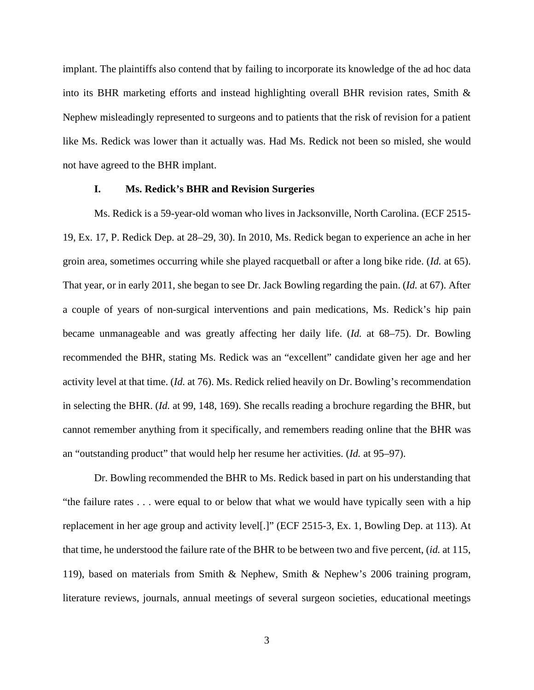implant. The plaintiffs also contend that by failing to incorporate its knowledge of the ad hoc data into its BHR marketing efforts and instead highlighting overall BHR revision rates, Smith  $\&$ Nephew misleadingly represented to surgeons and to patients that the risk of revision for a patient like Ms. Redick was lower than it actually was. Had Ms. Redick not been so misled, she would not have agreed to the BHR implant.

## **I. Ms. Redick's BHR and Revision Surgeries**

Ms. Redick is a 59-year-old woman who lives in Jacksonville, North Carolina. (ECF 2515- 19, Ex. 17, P. Redick Dep. at 28–29, 30). In 2010, Ms. Redick began to experience an ache in her groin area, sometimes occurring while she played racquetball or after a long bike ride. (*Id.* at 65). That year, or in early 2011, she began to see Dr. Jack Bowling regarding the pain. (*Id.* at 67). After a couple of years of non-surgical interventions and pain medications, Ms. Redick's hip pain became unmanageable and was greatly affecting her daily life. (*Id.* at 68–75). Dr. Bowling recommended the BHR, stating Ms. Redick was an "excellent" candidate given her age and her activity level at that time. (*Id.* at 76). Ms. Redick relied heavily on Dr. Bowling's recommendation in selecting the BHR. (*Id.* at 99, 148, 169). She recalls reading a brochure regarding the BHR, but cannot remember anything from it specifically, and remembers reading online that the BHR was an "outstanding product" that would help her resume her activities. (*Id.* at 95–97).

Dr. Bowling recommended the BHR to Ms. Redick based in part on his understanding that "the failure rates . . . were equal to or below that what we would have typically seen with a hip replacement in her age group and activity level[.]" (ECF 2515-3, Ex. 1, Bowling Dep. at 113). At that time, he understood the failure rate of the BHR to be between two and five percent, (*id.* at 115, 119), based on materials from Smith & Nephew, Smith & Nephew's 2006 training program, literature reviews, journals, annual meetings of several surgeon societies, educational meetings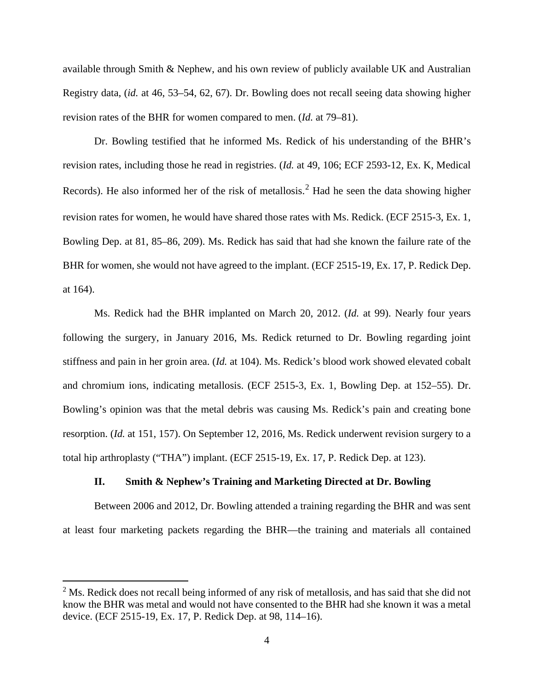available through Smith & Nephew, and his own review of publicly available UK and Australian Registry data, (*id.* at 46, 53–54, 62, 67). Dr. Bowling does not recall seeing data showing higher revision rates of the BHR for women compared to men. (*Id.* at 79–81).

Dr. Bowling testified that he informed Ms. Redick of his understanding of the BHR's revision rates, including those he read in registries. (*Id.* at 49, 106; ECF 2593-12, Ex. K, Medical Records). He also informed her of the risk of metallosis.<sup>[2](#page-3-0)</sup> Had he seen the data showing higher revision rates for women, he would have shared those rates with Ms. Redick. (ECF 2515-3, Ex. 1, Bowling Dep. at 81, 85–86, 209). Ms. Redick has said that had she known the failure rate of the BHR for women, she would not have agreed to the implant. (ECF 2515-19, Ex. 17, P. Redick Dep. at 164).

Ms. Redick had the BHR implanted on March 20, 2012. (*Id.* at 99). Nearly four years following the surgery, in January 2016, Ms. Redick returned to Dr. Bowling regarding joint stiffness and pain in her groin area. (*Id.* at 104). Ms. Redick's blood work showed elevated cobalt and chromium ions, indicating metallosis. (ECF 2515-3, Ex. 1, Bowling Dep. at 152–55). Dr. Bowling's opinion was that the metal debris was causing Ms. Redick's pain and creating bone resorption. (*Id.* at 151, 157). On September 12, 2016, Ms. Redick underwent revision surgery to a total hip arthroplasty ("THA") implant. (ECF 2515-19, Ex. 17, P. Redick Dep. at 123).

## **II. Smith & Nephew's Training and Marketing Directed at Dr. Bowling**

Between 2006 and 2012, Dr. Bowling attended a training regarding the BHR and was sent at least four marketing packets regarding the BHR—the training and materials all contained

<span id="page-3-0"></span><sup>&</sup>lt;sup>2</sup> Ms. Redick does not recall being informed of any risk of metallosis, and has said that she did not know the BHR was metal and would not have consented to the BHR had she known it was a metal device. (ECF 2515-19, Ex. 17, P. Redick Dep. at 98, 114–16).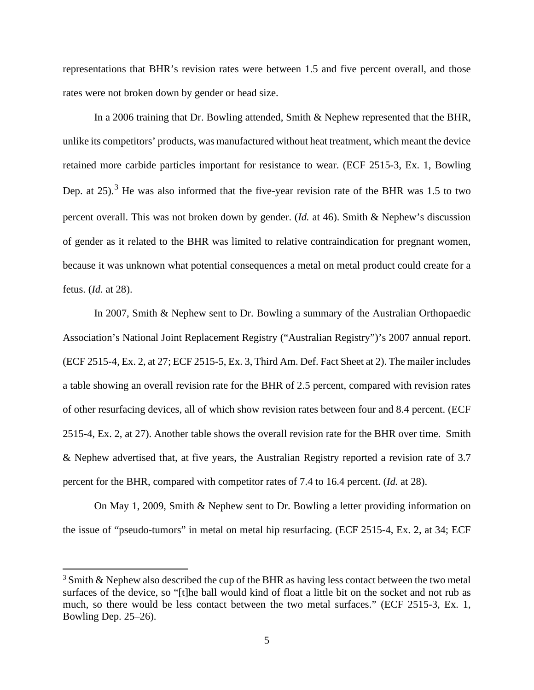representations that BHR's revision rates were between 1.5 and five percent overall, and those rates were not broken down by gender or head size.

In a 2006 training that Dr. Bowling attended, Smith & Nephew represented that the BHR, unlike its competitors' products, was manufactured without heat treatment, which meant the device retained more carbide particles important for resistance to wear. (ECF 2515-3, Ex. 1, Bowling Dep. at 25).<sup>[3](#page-4-0)</sup> He was also informed that the five-year revision rate of the BHR was 1.5 to two percent overall. This was not broken down by gender. (*Id.* at 46). Smith & Nephew's discussion of gender as it related to the BHR was limited to relative contraindication for pregnant women, because it was unknown what potential consequences a metal on metal product could create for a fetus. (*Id.* at 28).

In 2007, Smith & Nephew sent to Dr. Bowling a summary of the Australian Orthopaedic Association's National Joint Replacement Registry ("Australian Registry")'s 2007 annual report. (ECF 2515-4, Ex. 2, at 27; ECF 2515-5, Ex. 3, Third Am. Def. Fact Sheet at 2). The mailer includes a table showing an overall revision rate for the BHR of 2.5 percent, compared with revision rates of other resurfacing devices, all of which show revision rates between four and 8.4 percent. (ECF 2515-4, Ex. 2, at 27). Another table shows the overall revision rate for the BHR over time. Smith & Nephew advertised that, at five years, the Australian Registry reported a revision rate of 3.7 percent for the BHR, compared with competitor rates of 7.4 to 16.4 percent. (*Id.* at 28).

On May 1, 2009, Smith & Nephew sent to Dr. Bowling a letter providing information on the issue of "pseudo-tumors" in metal on metal hip resurfacing. (ECF 2515-4, Ex. 2, at 34; ECF

<span id="page-4-0"></span> $3 \text{ Smith} \& \text{ Nephew also described the cup of the BHR as having less contact between the two metal$ surfaces of the device, so "[t]he ball would kind of float a little bit on the socket and not rub as much, so there would be less contact between the two metal surfaces." (ECF 2515-3, Ex. 1, Bowling Dep. 25–26).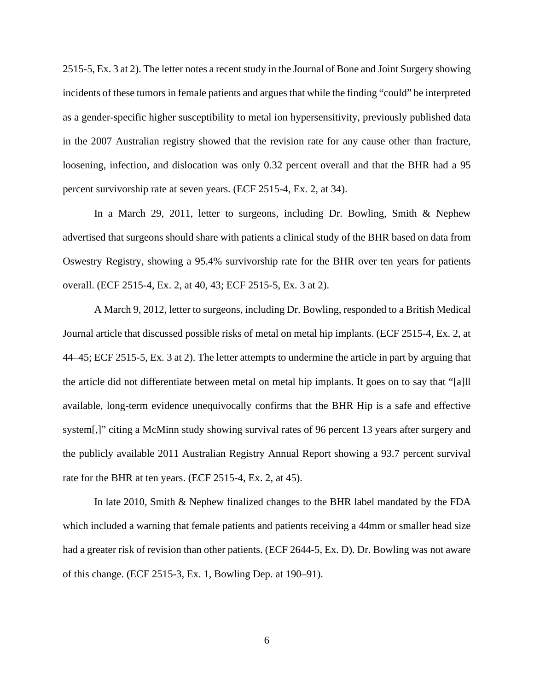2515-5, Ex. 3 at 2). The letter notes a recent study in the Journal of Bone and Joint Surgery showing incidents of these tumors in female patients and argues that while the finding "could" be interpreted as a gender-specific higher susceptibility to metal ion hypersensitivity, previously published data in the 2007 Australian registry showed that the revision rate for any cause other than fracture, loosening, infection, and dislocation was only 0.32 percent overall and that the BHR had a 95 percent survivorship rate at seven years. (ECF 2515-4, Ex. 2, at 34).

In a March 29, 2011, letter to surgeons, including Dr. Bowling, Smith & Nephew advertised that surgeons should share with patients a clinical study of the BHR based on data from Oswestry Registry, showing a 95.4% survivorship rate for the BHR over ten years for patients overall. (ECF 2515-4, Ex. 2, at 40, 43; ECF 2515-5, Ex. 3 at 2).

A March 9, 2012, letter to surgeons, including Dr. Bowling, responded to a British Medical Journal article that discussed possible risks of metal on metal hip implants. (ECF 2515-4, Ex. 2, at 44–45; ECF 2515-5, Ex. 3 at 2). The letter attempts to undermine the article in part by arguing that the article did not differentiate between metal on metal hip implants. It goes on to say that "[a]ll available, long-term evidence unequivocally confirms that the BHR Hip is a safe and effective system[,]" citing a McMinn study showing survival rates of 96 percent 13 years after surgery and the publicly available 2011 Australian Registry Annual Report showing a 93.7 percent survival rate for the BHR at ten years. (ECF 2515-4, Ex. 2, at 45).

In late 2010, Smith & Nephew finalized changes to the BHR label mandated by the FDA which included a warning that female patients and patients receiving a 44mm or smaller head size had a greater risk of revision than other patients. (ECF 2644-5, Ex. D). Dr. Bowling was not aware of this change. (ECF 2515-3, Ex. 1, Bowling Dep. at 190–91).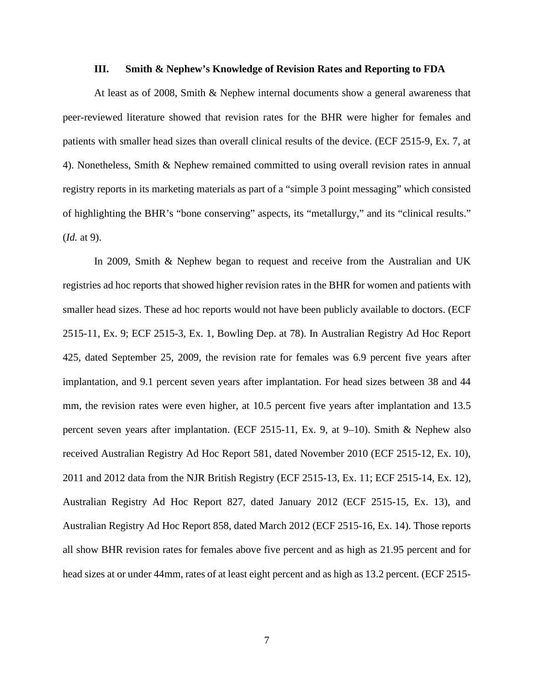#### **III. Smith & Nephew's Knowledge of Revision Rates and Reporting to FDA**

At least as of 2008, Smith & Nephew internal documents show a general awareness that peer-reviewed literature showed that revision rates for the BHR were higher for females and patients with smaller head sizes than overall clinical results of the device. (ECF 2515-9, Ex. 7, at 4). Nonetheless, Smith & Nephew remained committed to using overall revision rates in annual registry reports in its marketing materials as part of a "simple 3 point messaging" which consisted of highlighting the BHR's "bone conserving" aspects, its "metallurgy," and its "clinical results." (*Id.* at 9).

In 2009, Smith & Nephew began to request and receive from the Australian and UK registries ad hoc reports that showed higher revision rates in the BHR for women and patients with smaller head sizes. These ad hoc reports would not have been publicly available to doctors. (ECF 2515-11, Ex. 9; ECF 2515-3, Ex. 1, Bowling Dep. at 78). In Australian Registry Ad Hoc Report 425, dated September 25, 2009, the revision rate for females was 6.9 percent five years after implantation, and 9.1 percent seven years after implantation. For head sizes between 38 and 44 mm, the revision rates were even higher, at 10.5 percent five years after implantation and 13.5 percent seven years after implantation. (ECF 2515-11, Ex. 9, at 9–10). Smith & Nephew also received Australian Registry Ad Hoc Report 581, dated November 2010 (ECF 2515-12, Ex. 10), 2011 and 2012 data from the NJR British Registry (ECF 2515-13, Ex. 11; ECF 2515-14, Ex. 12), Australian Registry Ad Hoc Report 827, dated January 2012 (ECF 2515-15, Ex. 13), and Australian Registry Ad Hoc Report 858, dated March 2012 (ECF 2515-16, Ex. 14). Those reports all show BHR revision rates for females above five percent and as high as 21.95 percent and for head sizes at or under 44mm, rates of at least eight percent and as high as 13.2 percent. (ECF 2515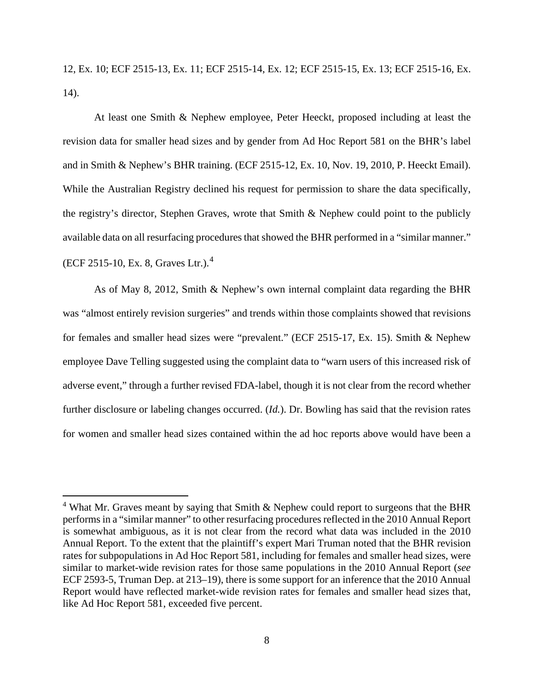12, Ex. 10; ECF 2515-13, Ex. 11; ECF 2515-14, Ex. 12; ECF 2515-15, Ex. 13; ECF 2515-16, Ex. 14).

At least one Smith & Nephew employee, Peter Heeckt, proposed including at least the revision data for smaller head sizes and by gender from Ad Hoc Report 581 on the BHR's label and in Smith & Nephew's BHR training. (ECF 2515-12, Ex. 10, Nov. 19, 2010, P. Heeckt Email). While the Australian Registry declined his request for permission to share the data specifically, the registry's director, Stephen Graves, wrote that Smith & Nephew could point to the publicly available data on all resurfacing procedures that showed the BHR performed in a "similar manner." (ECF 2515-10, Ex. 8, Graves Ltr.).[4](#page-7-0)

As of May 8, 2012, Smith & Nephew's own internal complaint data regarding the BHR was "almost entirely revision surgeries" and trends within those complaints showed that revisions for females and smaller head sizes were "prevalent." (ECF 2515-17, Ex. 15). Smith & Nephew employee Dave Telling suggested using the complaint data to "warn users of this increased risk of adverse event," through a further revised FDA-label, though it is not clear from the record whether further disclosure or labeling changes occurred. (*Id.*). Dr. Bowling has said that the revision rates for women and smaller head sizes contained within the ad hoc reports above would have been a

<span id="page-7-0"></span><sup>&</sup>lt;sup>4</sup> What Mr. Graves meant by saying that Smith & Nephew could report to surgeons that the BHR performs in a "similar manner" to other resurfacing procedures reflected in the 2010 Annual Report is somewhat ambiguous, as it is not clear from the record what data was included in the 2010 Annual Report. To the extent that the plaintiff's expert Mari Truman noted that the BHR revision rates for subpopulations in Ad Hoc Report 581, including for females and smaller head sizes, were similar to market-wide revision rates for those same populations in the 2010 Annual Report (*see* ECF 2593-5, Truman Dep. at 213–19), there is some support for an inference that the 2010 Annual Report would have reflected market-wide revision rates for females and smaller head sizes that, like Ad Hoc Report 581, exceeded five percent.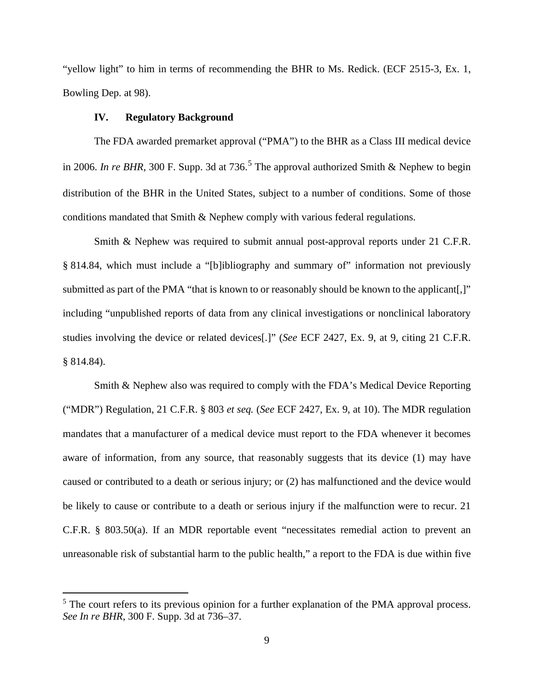"yellow light" to him in terms of recommending the BHR to Ms. Redick. (ECF 2515-3, Ex. 1, Bowling Dep. at 98).

## **IV. Regulatory Background**

The FDA awarded premarket approval ("PMA") to the BHR as a Class III medical device in 2006. *In re BHR*, 300 F. Supp. 3d at 736.<sup>[5](#page-8-0)</sup> The approval authorized Smith & Nephew to begin distribution of the BHR in the United States, subject to a number of conditions. Some of those conditions mandated that Smith & Nephew comply with various federal regulations.

Smith & Nephew was required to submit annual post-approval reports under 21 C.F.R. § 814.84, which must include a "[b]ibliography and summary of" information not previously submitted as part of the PMA "that is known to or reasonably should be known to the applicant[,]" including "unpublished reports of data from any clinical investigations or nonclinical laboratory studies involving the device or related devices[.]" (*See* ECF 2427, Ex. 9, at 9, citing 21 C.F.R. § 814.84).

Smith & Nephew also was required to comply with the FDA's Medical Device Reporting ("MDR") Regulation, 21 C.F.R. § 803 *et seq.* (*See* ECF 2427, Ex. 9, at 10). The MDR regulation mandates that a manufacturer of a medical device must report to the FDA whenever it becomes aware of information, from any source, that reasonably suggests that its device (1) may have caused or contributed to a death or serious injury; or (2) has malfunctioned and the device would be likely to cause or contribute to a death or serious injury if the malfunction were to recur. 21 C.F.R. § 803.50(a). If an MDR reportable event "necessitates remedial action to prevent an unreasonable risk of substantial harm to the public health," a report to the FDA is due within five

<span id="page-8-0"></span><sup>&</sup>lt;sup>5</sup> The court refers to its previous opinion for a further explanation of the PMA approval process. *See In re BHR*, 300 F. Supp. 3d at 736–37.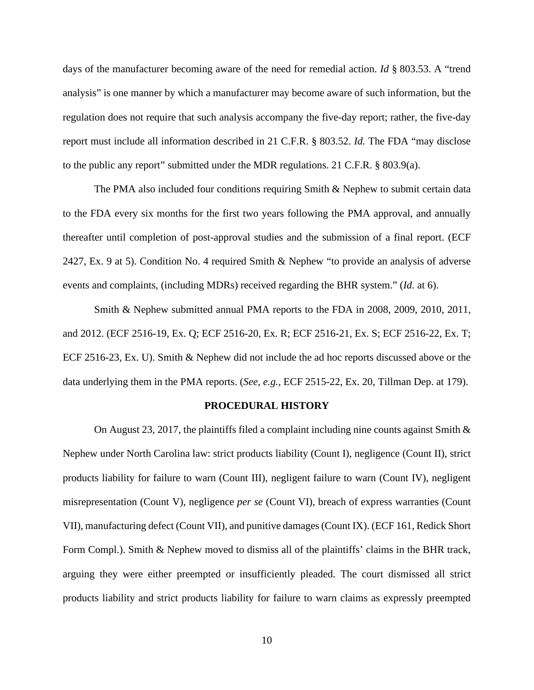days of the manufacturer becoming aware of the need for remedial action. *Id* § 803.53. A "trend analysis" is one manner by which a manufacturer may become aware of such information, but the regulation does not require that such analysis accompany the five-day report; rather, the five-day report must include all information described in 21 C.F.R. § 803.52. *Id.* The FDA "may disclose to the public any report" submitted under the MDR regulations. 21 C.F.R. § 803.9(a).

The PMA also included four conditions requiring Smith & Nephew to submit certain data to the FDA every six months for the first two years following the PMA approval, and annually thereafter until completion of post-approval studies and the submission of a final report. (ECF 2427, Ex. 9 at 5). Condition No. 4 required Smith & Nephew "to provide an analysis of adverse events and complaints, (including MDRs) received regarding the BHR system." (*Id.* at 6).

Smith & Nephew submitted annual PMA reports to the FDA in 2008, 2009, 2010, 2011, and 2012. (ECF 2516-19, Ex. Q; ECF 2516-20, Ex. R; ECF 2516-21, Ex. S; ECF 2516-22, Ex. T; ECF 2516-23, Ex. U). Smith & Nephew did not include the ad hoc reports discussed above or the data underlying them in the PMA reports. (*See, e.g.*, ECF 2515-22, Ex. 20, Tillman Dep. at 179).

### **PROCEDURAL HISTORY**

On August 23, 2017, the plaintiffs filed a complaint including nine counts against Smith  $\&$ Nephew under North Carolina law: strict products liability (Count I), negligence (Count II), strict products liability for failure to warn (Count III), negligent failure to warn (Count IV), negligent misrepresentation (Count V), negligence *per se* (Count VI), breach of express warranties (Count VII), manufacturing defect (Count VII), and punitive damages(Count IX). (ECF 161, Redick Short Form Compl.). Smith & Nephew moved to dismiss all of the plaintiffs' claims in the BHR track, arguing they were either preempted or insufficiently pleaded. The court dismissed all strict products liability and strict products liability for failure to warn claims as expressly preempted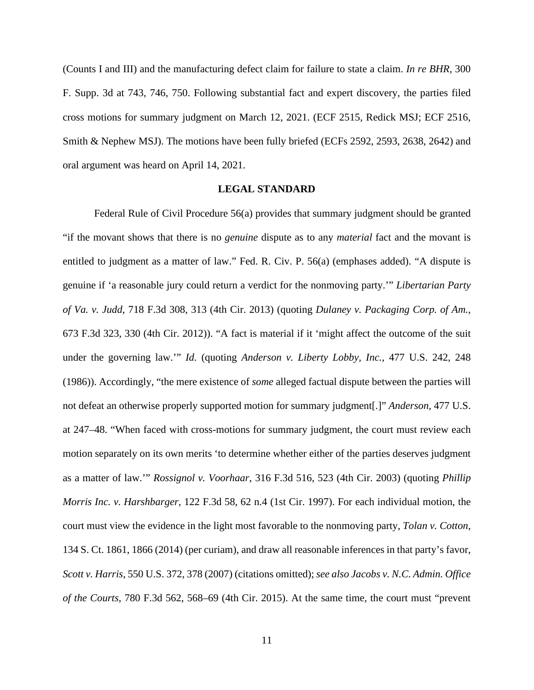(Counts I and III) and the manufacturing defect claim for failure to state a claim. *In re BHR*, 300 F. Supp. 3d at 743, 746, 750. Following substantial fact and expert discovery, the parties filed cross motions for summary judgment on March 12, 2021. (ECF 2515, Redick MSJ; ECF 2516, Smith & Nephew MSJ). The motions have been fully briefed (ECFs 2592, 2593, 2638, 2642) and oral argument was heard on April 14, 2021.

## **LEGAL STANDARD**

Federal Rule of Civil Procedure 56(a) provides that summary judgment should be granted "if the movant shows that there is no *genuine* dispute as to any *material* fact and the movant is entitled to judgment as a matter of law." Fed. R. Civ. P. 56(a) (emphases added). "A dispute is genuine if 'a reasonable jury could return a verdict for the nonmoving party.'" *Libertarian Party of Va. v. Judd*, 718 F.3d 308, 313 (4th Cir. 2013) (quoting *Dulaney v. Packaging Corp. of Am.*, 673 F.3d 323, 330 (4th Cir. 2012)). "A fact is material if it 'might affect the outcome of the suit under the governing law.'" *Id.* (quoting *Anderson v. Liberty Lobby, Inc.*, 477 U.S. 242, 248 (1986)). Accordingly, "the mere existence of *some* alleged factual dispute between the parties will not defeat an otherwise properly supported motion for summary judgment[.]" *Anderson*, 477 U.S. at 247–48. "When faced with cross-motions for summary judgment, the court must review each motion separately on its own merits 'to determine whether either of the parties deserves judgment as a matter of law.'" *Rossignol v. Voorhaar*, 316 F.3d 516, 523 (4th Cir. 2003) (quoting *Phillip Morris Inc. v. Harshbarger*, 122 F.3d 58, 62 n.4 (1st Cir. 1997). For each individual motion, the court must view the evidence in the light most favorable to the nonmoving party, *Tolan v. Cotton*, 134 S. Ct. 1861, 1866 (2014) (per curiam), and draw all reasonable inferences in that party's favor, *Scott v. Harris*, 550 U.S. 372, 378 (2007) (citations omitted); *see also Jacobs v. N.C. Admin. Office of the Courts*, 780 F.3d 562, 568–69 (4th Cir. 2015). At the same time, the court must "prevent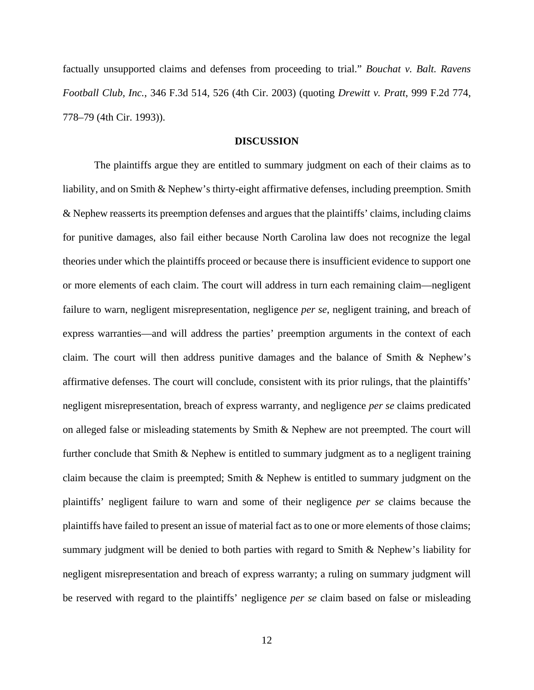factually unsupported claims and defenses from proceeding to trial." *Bouchat v. Balt. Ravens Football Club, Inc.*, 346 F.3d 514, 526 (4th Cir. 2003) (quoting *Drewitt v. Pratt*, 999 F.2d 774, 778–79 (4th Cir. 1993)).

## **DISCUSSION**

The plaintiffs argue they are entitled to summary judgment on each of their claims as to liability, and on Smith & Nephew's thirty-eight affirmative defenses, including preemption. Smith & Nephew reasserts its preemption defenses and argues that the plaintiffs' claims, including claims for punitive damages, also fail either because North Carolina law does not recognize the legal theories under which the plaintiffs proceed or because there is insufficient evidence to support one or more elements of each claim. The court will address in turn each remaining claim—negligent failure to warn, negligent misrepresentation, negligence *per se*, negligent training, and breach of express warranties—and will address the parties' preemption arguments in the context of each claim. The court will then address punitive damages and the balance of Smith & Nephew's affirmative defenses. The court will conclude, consistent with its prior rulings, that the plaintiffs' negligent misrepresentation, breach of express warranty, and negligence *per se* claims predicated on alleged false or misleading statements by Smith & Nephew are not preempted. The court will further conclude that Smith & Nephew is entitled to summary judgment as to a negligent training claim because the claim is preempted; Smith & Nephew is entitled to summary judgment on the plaintiffs' negligent failure to warn and some of their negligence *per se* claims because the plaintiffs have failed to present an issue of material fact as to one or more elements of those claims; summary judgment will be denied to both parties with regard to Smith & Nephew's liability for negligent misrepresentation and breach of express warranty; a ruling on summary judgment will be reserved with regard to the plaintiffs' negligence *per se* claim based on false or misleading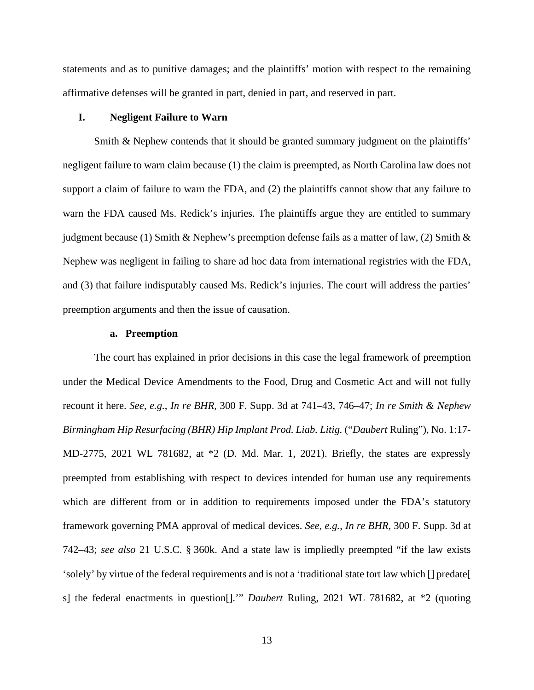statements and as to punitive damages; and the plaintiffs' motion with respect to the remaining affirmative defenses will be granted in part, denied in part, and reserved in part.

## **I. Negligent Failure to Warn**

Smith & Nephew contends that it should be granted summary judgment on the plaintiffs' negligent failure to warn claim because (1) the claim is preempted, as North Carolina law does not support a claim of failure to warn the FDA, and (2) the plaintiffs cannot show that any failure to warn the FDA caused Ms. Redick's injuries. The plaintiffs argue they are entitled to summary judgment because (1) Smith & Nephew's preemption defense fails as a matter of law, (2) Smith & Nephew was negligent in failing to share ad hoc data from international registries with the FDA, and (3) that failure indisputably caused Ms. Redick's injuries. The court will address the parties' preemption arguments and then the issue of causation.

#### **a. Preemption**

The court has explained in prior decisions in this case the legal framework of preemption under the Medical Device Amendments to the Food, Drug and Cosmetic Act and will not fully recount it here. *See, e.g.*, *In re BHR*, 300 F. Supp. 3d at 741–43, 746–47; *In re Smith & Nephew Birmingham Hip Resurfacing (BHR) Hip Implant Prod. Liab. Litig.* ("*Daubert* Ruling"), No. 1:17- MD-2775, 2021 WL 781682, at \*2 (D. Md. Mar. 1, 2021). Briefly, the states are expressly preempted from establishing with respect to devices intended for human use any requirements which are different from or in addition to requirements imposed under the FDA's statutory framework governing PMA approval of medical devices. *See, e.g.*, *In re BHR*, 300 F. Supp. 3d at 742–43; *see also* 21 U.S.C. § 360k. And a state law is impliedly preempted "if the law exists 'solely' by virtue of the federal requirements and is not a 'traditional state tort law which [] predate[ s] the federal enactments in question[].'" *Daubert* Ruling, 2021 WL 781682, at \*2 (quoting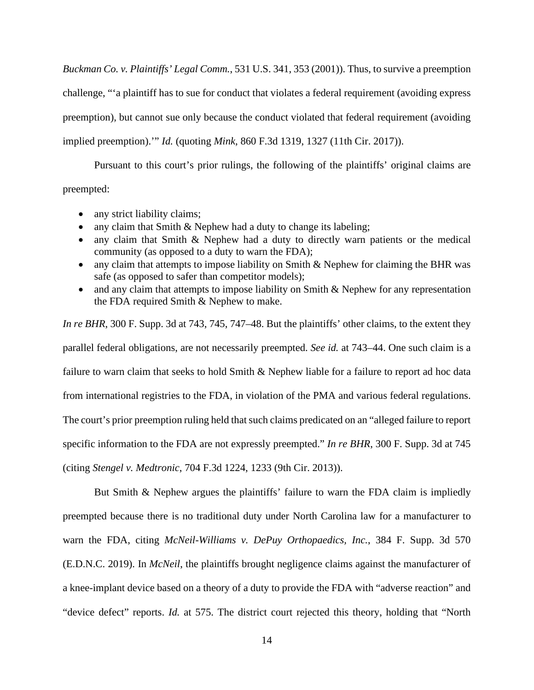*Buckman Co. v. Plaintiffs' Legal Comm.*, 531 U.S. 341, 353 (2001)). Thus, to survive a preemption challenge, "'a plaintiff has to sue for conduct that violates a federal requirement (avoiding express preemption), but cannot sue only because the conduct violated that federal requirement (avoiding implied preemption).'" *Id.* (quoting *Mink*, 860 F.3d 1319, 1327 (11th Cir. 2017)).

Pursuant to this court's prior rulings, the following of the plaintiffs' original claims are preempted:

- any strict liability claims;
- any claim that Smith & Nephew had a duty to change its labeling;
- any claim that Smith & Nephew had a duty to directly warn patients or the medical community (as opposed to a duty to warn the FDA);
- any claim that attempts to impose liability on Smith & Nephew for claiming the BHR was safe (as opposed to safer than competitor models);
- and any claim that attempts to impose liability on Smith & Nephew for any representation the FDA required Smith & Nephew to make.

*In re BHR*, 300 F. Supp. 3d at 743, 745, 747–48. But the plaintiffs' other claims, to the extent they parallel federal obligations, are not necessarily preempted. *See id.* at 743–44. One such claim is a failure to warn claim that seeks to hold Smith & Nephew liable for a failure to report ad hoc data from international registries to the FDA, in violation of the PMA and various federal regulations. The court's prior preemption ruling held that such claims predicated on an "alleged failure to report specific information to the FDA are not expressly preempted." *In re BHR*, 300 F. Supp. 3d at 745 (citing *Stengel v. Medtronic*, 704 F.3d 1224, 1233 (9th Cir. 2013)).

But Smith & Nephew argues the plaintiffs' failure to warn the FDA claim is impliedly preempted because there is no traditional duty under North Carolina law for a manufacturer to warn the FDA, citing *McNeil-Williams v. DePuy Orthopaedics, Inc.*, 384 F. Supp. 3d 570 (E.D.N.C. 2019). In *McNeil*, the plaintiffs brought negligence claims against the manufacturer of a knee-implant device based on a theory of a duty to provide the FDA with "adverse reaction" and "device defect" reports. *Id.* at 575. The district court rejected this theory, holding that "North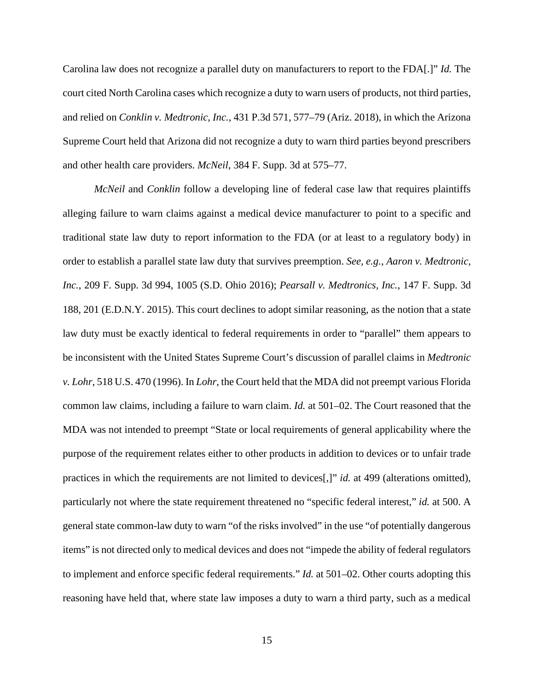Carolina law does not recognize a parallel duty on manufacturers to report to the FDA[.]" *Id.* The court cited North Carolina cases which recognize a duty to warn users of products, not third parties, and relied on *Conklin v. Medtronic, Inc.*, 431 P.3d 571, 577–79 (Ariz. 2018), in which the Arizona Supreme Court held that Arizona did not recognize a duty to warn third parties beyond prescribers and other health care providers. *McNeil*, 384 F. Supp. 3d at 575–77.

*McNeil* and *Conklin* follow a developing line of federal case law that requires plaintiffs alleging failure to warn claims against a medical device manufacturer to point to a specific and traditional state law duty to report information to the FDA (or at least to a regulatory body) in order to establish a parallel state law duty that survives preemption. *See, e.g.*, *Aaron v. Medtronic, Inc.*, 209 F. Supp. 3d 994, 1005 (S.D. Ohio 2016); *Pearsall v. Medtronics, Inc.*, 147 F. Supp. 3d 188, 201 (E.D.N.Y. 2015). This court declines to adopt similar reasoning, as the notion that a state law duty must be exactly identical to federal requirements in order to "parallel" them appears to be inconsistent with the United States Supreme Court's discussion of parallel claims in *Medtronic v. Lohr*, 518 U.S. 470 (1996). In *Lohr*, the Court held that the MDA did not preempt various Florida common law claims, including a failure to warn claim. *Id.* at 501–02. The Court reasoned that the MDA was not intended to preempt "State or local requirements of general applicability where the purpose of the requirement relates either to other products in addition to devices or to unfair trade practices in which the requirements are not limited to devices[,]" *id.* at 499 (alterations omitted), particularly not where the state requirement threatened no "specific federal interest," *id.* at 500. A general state common-law duty to warn "of the risks involved" in the use "of potentially dangerous items" is not directed only to medical devices and does not "impede the ability of federal regulators to implement and enforce specific federal requirements." *Id.* at 501–02. Other courts adopting this reasoning have held that, where state law imposes a duty to warn a third party, such as a medical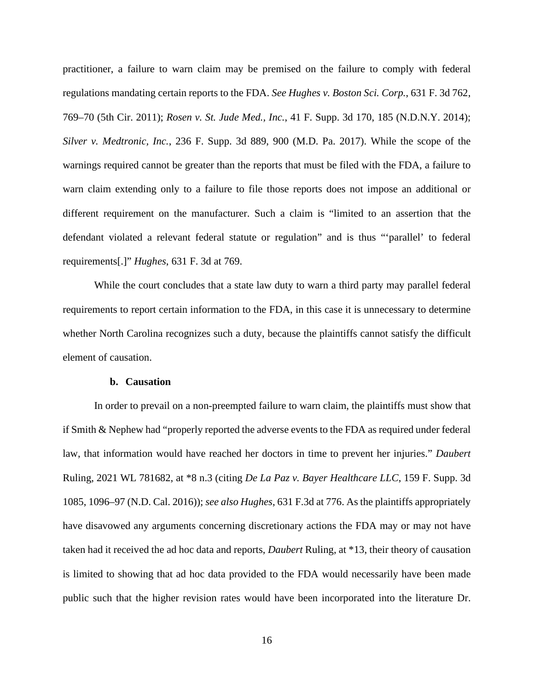practitioner, a failure to warn claim may be premised on the failure to comply with federal regulations mandating certain reports to the FDA. *See Hughes v. Boston Sci. Corp.*, 631 F. 3d 762, 769–70 (5th Cir. 2011); *Rosen v. St. Jude Med., Inc.*, 41 F. Supp. 3d 170, 185 (N.D.N.Y. 2014); *Silver v. Medtronic, Inc.*, 236 F. Supp. 3d 889, 900 (M.D. Pa. 2017). While the scope of the warnings required cannot be greater than the reports that must be filed with the FDA, a failure to warn claim extending only to a failure to file those reports does not impose an additional or different requirement on the manufacturer. Such a claim is "limited to an assertion that the defendant violated a relevant federal statute or regulation" and is thus "'parallel' to federal requirements[.]" *Hughes*, 631 F. 3d at 769.

While the court concludes that a state law duty to warn a third party may parallel federal requirements to report certain information to the FDA, in this case it is unnecessary to determine whether North Carolina recognizes such a duty, because the plaintiffs cannot satisfy the difficult element of causation.

## **b. Causation**

In order to prevail on a non-preempted failure to warn claim, the plaintiffs must show that if Smith & Nephew had "properly reported the adverse events to the FDA as required under federal law, that information would have reached her doctors in time to prevent her injuries." *Daubert*  Ruling, 2021 WL 781682, at \*8 n.3 (citing *De La Paz v. Bayer Healthcare LLC*, 159 F. Supp. 3d 1085, 1096–97 (N.D. Cal. 2016)); *see also Hughes*, 631 F.3d at 776. As the plaintiffs appropriately have disavowed any arguments concerning discretionary actions the FDA may or may not have taken had it received the ad hoc data and reports, *Daubert* Ruling, at \*13, their theory of causation is limited to showing that ad hoc data provided to the FDA would necessarily have been made public such that the higher revision rates would have been incorporated into the literature Dr.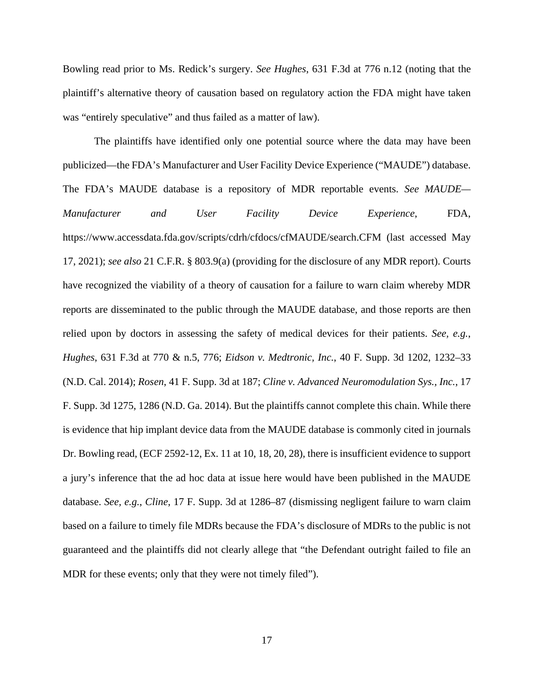Bowling read prior to Ms. Redick's surgery. *See Hughes*, 631 F.3d at 776 n.12 (noting that the plaintiff's alternative theory of causation based on regulatory action the FDA might have taken was "entirely speculative" and thus failed as a matter of law).

The plaintiffs have identified only one potential source where the data may have been publicized—the FDA's Manufacturer and User Facility Device Experience ("MAUDE") database. The FDA's MAUDE database is a repository of MDR reportable events. *See MAUDE— Manufacturer and User Facility Device Experience*, FDA, https://www.accessdata.fda.gov/scripts/cdrh/cfdocs/cfMAUDE/search.CFM (last accessed May 17, 2021); *see also* 21 C.F.R. § 803.9(a) (providing for the disclosure of any MDR report). Courts have recognized the viability of a theory of causation for a failure to warn claim whereby MDR reports are disseminated to the public through the MAUDE database, and those reports are then relied upon by doctors in assessing the safety of medical devices for their patients. *See, e.g.*, *Hughes*, 631 F.3d at 770 & n.5, 776; *Eidson v. Medtronic, Inc.*, 40 F. Supp. 3d 1202, 1232–33 (N.D. Cal. 2014); *Rosen*, 41 F. Supp. 3d at 187; *Cline v. Advanced Neuromodulation Sys., Inc.*, 17 F. Supp. 3d 1275, 1286 (N.D. Ga. 2014). But the plaintiffs cannot complete this chain. While there is evidence that hip implant device data from the MAUDE database is commonly cited in journals Dr. Bowling read, (ECF 2592-12, Ex. 11 at 10, 18, 20, 28), there is insufficient evidence to support a jury's inference that the ad hoc data at issue here would have been published in the MAUDE database. *See, e.g.*, *Cline*, 17 F. Supp. 3d at 1286–87 (dismissing negligent failure to warn claim based on a failure to timely file MDRs because the FDA's disclosure of MDRs to the public is not guaranteed and the plaintiffs did not clearly allege that "the Defendant outright failed to file an MDR for these events; only that they were not timely filed").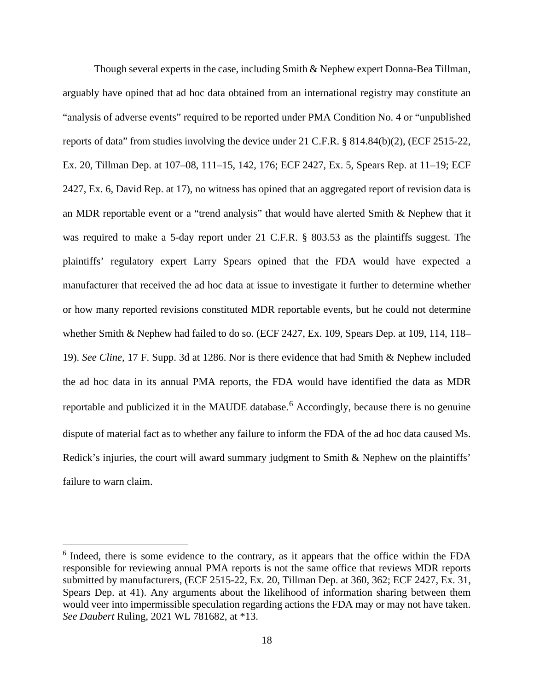Though several experts in the case, including Smith & Nephew expert Donna-Bea Tillman, arguably have opined that ad hoc data obtained from an international registry may constitute an "analysis of adverse events" required to be reported under PMA Condition No. 4 or "unpublished reports of data" from studies involving the device under 21 C.F.R. § 814.84(b)(2), (ECF 2515-22, Ex. 20, Tillman Dep. at 107–08, 111–15, 142, 176; ECF 2427, Ex. 5, Spears Rep. at 11–19; ECF 2427, Ex. 6, David Rep. at 17), no witness has opined that an aggregated report of revision data is an MDR reportable event or a "trend analysis" that would have alerted Smith & Nephew that it was required to make a 5-day report under 21 C.F.R. § 803.53 as the plaintiffs suggest. The plaintiffs' regulatory expert Larry Spears opined that the FDA would have expected a manufacturer that received the ad hoc data at issue to investigate it further to determine whether or how many reported revisions constituted MDR reportable events, but he could not determine whether Smith & Nephew had failed to do so. (ECF 2427, Ex. 109, Spears Dep. at 109, 114, 118– 19). *See Cline*, 17 F. Supp. 3d at 1286. Nor is there evidence that had Smith & Nephew included the ad hoc data in its annual PMA reports, the FDA would have identified the data as MDR reportable and publicized it in the MAUDE database.<sup>[6](#page-17-0)</sup> Accordingly, because there is no genuine dispute of material fact as to whether any failure to inform the FDA of the ad hoc data caused Ms. Redick's injuries, the court will award summary judgment to Smith & Nephew on the plaintiffs' failure to warn claim.

<span id="page-17-0"></span><sup>6</sup> Indeed, there is some evidence to the contrary, as it appears that the office within the FDA responsible for reviewing annual PMA reports is not the same office that reviews MDR reports submitted by manufacturers, (ECF 2515-22, Ex. 20, Tillman Dep. at 360, 362; ECF 2427, Ex. 31, Spears Dep. at 41). Any arguments about the likelihood of information sharing between them would veer into impermissible speculation regarding actions the FDA may or may not have taken. *See Daubert* Ruling, 2021 WL 781682, at \*13.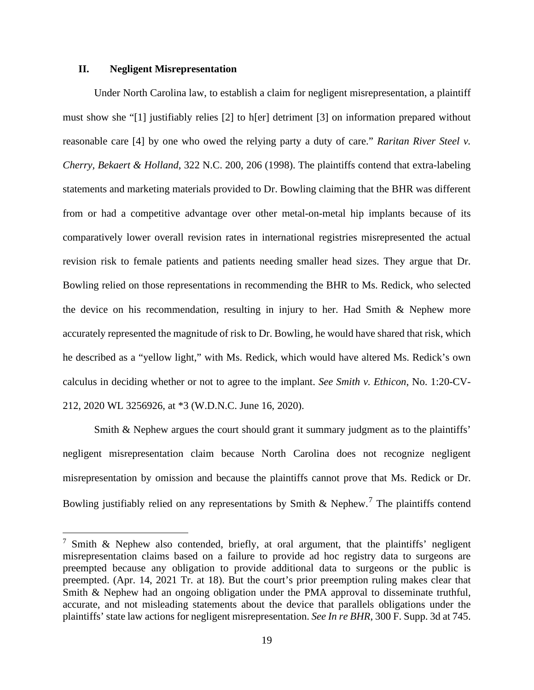## **II. Negligent Misrepresentation**

Under North Carolina law, to establish a claim for negligent misrepresentation, a plaintiff must show she "[1] justifiably relies [2] to h[er] detriment [3] on information prepared without reasonable care [4] by one who owed the relying party a duty of care." *Raritan River Steel v. Cherry, Bekaert & Holland*, 322 N.C. 200, 206 (1998). The plaintiffs contend that extra-labeling statements and marketing materials provided to Dr. Bowling claiming that the BHR was different from or had a competitive advantage over other metal-on-metal hip implants because of its comparatively lower overall revision rates in international registries misrepresented the actual revision risk to female patients and patients needing smaller head sizes. They argue that Dr. Bowling relied on those representations in recommending the BHR to Ms. Redick, who selected the device on his recommendation, resulting in injury to her. Had Smith & Nephew more accurately represented the magnitude of risk to Dr. Bowling, he would have shared that risk, which he described as a "yellow light," with Ms. Redick, which would have altered Ms. Redick's own calculus in deciding whether or not to agree to the implant. *See Smith v. Ethicon*, No. 1:20-CV-212, 2020 WL 3256926, at \*3 (W.D.N.C. June 16, 2020).

Smith & Nephew argues the court should grant it summary judgment as to the plaintiffs' negligent misrepresentation claim because North Carolina does not recognize negligent misrepresentation by omission and because the plaintiffs cannot prove that Ms. Redick or Dr. Bowling justifiably relied on any representations by Smith & Nephew.<sup>[7](#page-18-0)</sup> The plaintiffs contend

<span id="page-18-0"></span><sup>&</sup>lt;sup>7</sup> Smith & Nephew also contended, briefly, at oral argument, that the plaintiffs' negligent misrepresentation claims based on a failure to provide ad hoc registry data to surgeons are preempted because any obligation to provide additional data to surgeons or the public is preempted. (Apr. 14, 2021 Tr. at 18). But the court's prior preemption ruling makes clear that Smith & Nephew had an ongoing obligation under the PMA approval to disseminate truthful, accurate, and not misleading statements about the device that parallels obligations under the plaintiffs' state law actions for negligent misrepresentation. *See In re BHR*, 300 F. Supp. 3d at 745.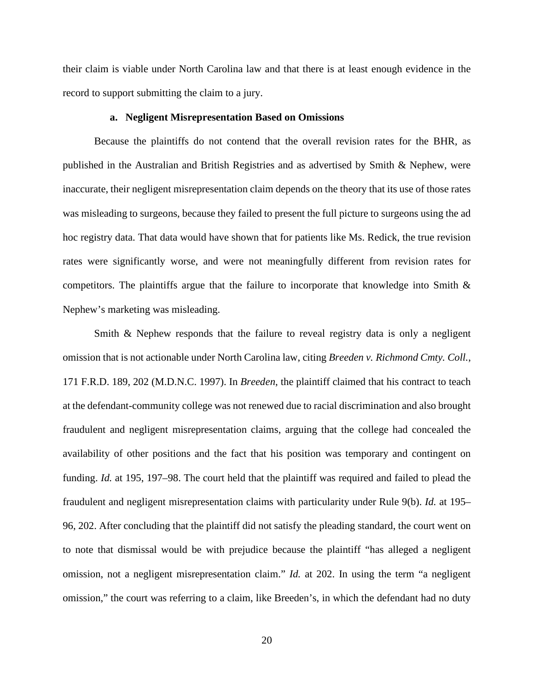their claim is viable under North Carolina law and that there is at least enough evidence in the record to support submitting the claim to a jury.

## **a. Negligent Misrepresentation Based on Omissions**

Because the plaintiffs do not contend that the overall revision rates for the BHR, as published in the Australian and British Registries and as advertised by Smith & Nephew, were inaccurate, their negligent misrepresentation claim depends on the theory that its use of those rates was misleading to surgeons, because they failed to present the full picture to surgeons using the ad hoc registry data. That data would have shown that for patients like Ms. Redick, the true revision rates were significantly worse, and were not meaningfully different from revision rates for competitors. The plaintiffs argue that the failure to incorporate that knowledge into Smith & Nephew's marketing was misleading.

Smith & Nephew responds that the failure to reveal registry data is only a negligent omission that is not actionable under North Carolina law, citing *Breeden v. Richmond Cmty. Coll.*, 171 F.R.D. 189, 202 (M.D.N.C. 1997). In *Breeden*, the plaintiff claimed that his contract to teach at the defendant-community college was not renewed due to racial discrimination and also brought fraudulent and negligent misrepresentation claims, arguing that the college had concealed the availability of other positions and the fact that his position was temporary and contingent on funding. *Id.* at 195, 197–98. The court held that the plaintiff was required and failed to plead the fraudulent and negligent misrepresentation claims with particularity under Rule 9(b). *Id.* at 195– 96, 202. After concluding that the plaintiff did not satisfy the pleading standard, the court went on to note that dismissal would be with prejudice because the plaintiff "has alleged a negligent omission, not a negligent misrepresentation claim." *Id.* at 202. In using the term "a negligent omission," the court was referring to a claim, like Breeden's, in which the defendant had no duty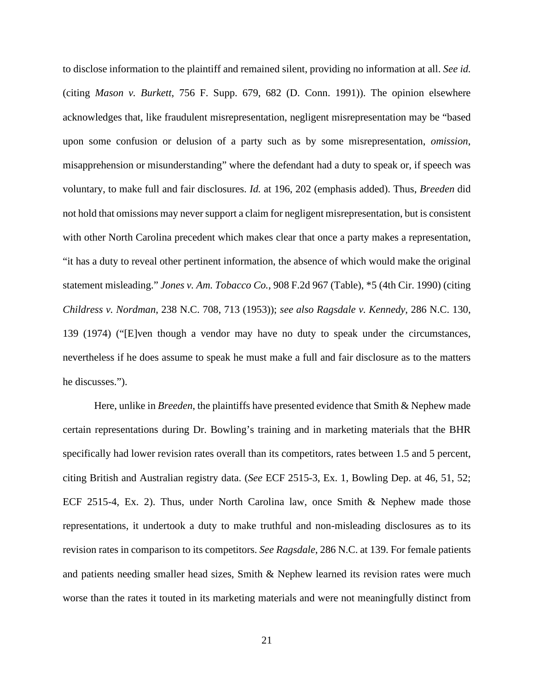to disclose information to the plaintiff and remained silent, providing no information at all. *See id.* (citing *Mason v. Burkett*, 756 F. Supp. 679, 682 (D. Conn. 1991)). The opinion elsewhere acknowledges that, like fraudulent misrepresentation, negligent misrepresentation may be "based upon some confusion or delusion of a party such as by some misrepresentation, *omission*, misapprehension or misunderstanding" where the defendant had a duty to speak or, if speech was voluntary, to make full and fair disclosures. *Id.* at 196, 202 (emphasis added). Thus, *Breeden* did not hold that omissions may never support a claim for negligent misrepresentation, but is consistent with other North Carolina precedent which makes clear that once a party makes a representation, "it has a duty to reveal other pertinent information, the absence of which would make the original statement misleading." *Jones v. Am. Tobacco Co.*, 908 F.2d 967 (Table), \*5 (4th Cir. 1990) (citing *Childress v. Nordman*, 238 N.C. 708, 713 (1953)); *see also Ragsdale v. Kennedy*, 286 N.C. 130, 139 (1974) ("[E]ven though a vendor may have no duty to speak under the circumstances, nevertheless if he does assume to speak he must make a full and fair disclosure as to the matters he discusses.").

Here, unlike in *Breeden*, the plaintiffs have presented evidence that Smith & Nephew made certain representations during Dr. Bowling's training and in marketing materials that the BHR specifically had lower revision rates overall than its competitors, rates between 1.5 and 5 percent, citing British and Australian registry data. (*See* ECF 2515-3, Ex. 1, Bowling Dep. at 46, 51, 52; ECF 2515-4, Ex. 2). Thus, under North Carolina law, once Smith & Nephew made those representations, it undertook a duty to make truthful and non-misleading disclosures as to its revision rates in comparison to its competitors. *See Ragsdale*, 286 N.C. at 139. For female patients and patients needing smaller head sizes, Smith & Nephew learned its revision rates were much worse than the rates it touted in its marketing materials and were not meaningfully distinct from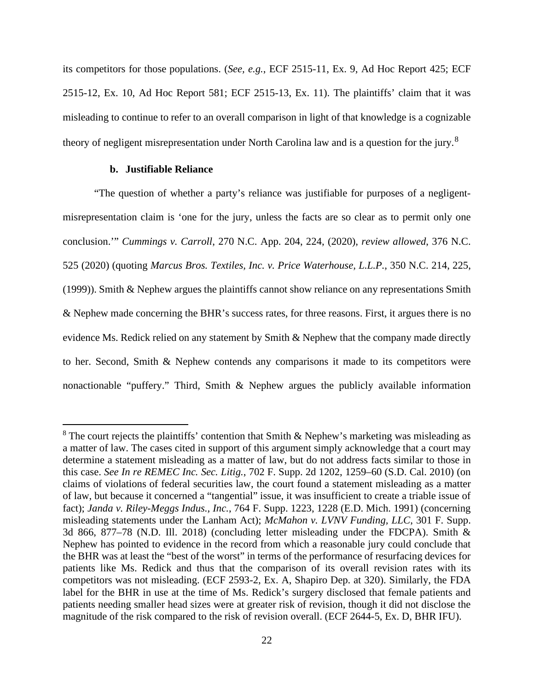its competitors for those populations. (*See, e.g.*, ECF 2515-11, Ex. 9, Ad Hoc Report 425; ECF 2515-12, Ex. 10, Ad Hoc Report 581; ECF 2515-13, Ex. 11). The plaintiffs' claim that it was misleading to continue to refer to an overall comparison in light of that knowledge is a cognizable theory of negligent misrepresentation under North Carolina law and is a question for the jury.<sup>[8](#page-21-0)</sup>

## **b. Justifiable Reliance**

"The question of whether a party's reliance was justifiable for purposes of a negligentmisrepresentation claim is 'one for the jury, unless the facts are so clear as to permit only one conclusion.'" *Cummings v. Carroll*, 270 N.C. App. 204, 224, (2020), *review allowed*, 376 N.C. 525 (2020) (quoting *Marcus Bros. Textiles, Inc. v. Price Waterhouse, L.L.P.*, 350 N.C. 214, 225, (1999)). Smith & Nephew argues the plaintiffs cannot show reliance on any representations Smith & Nephew made concerning the BHR's success rates, for three reasons. First, it argues there is no evidence Ms. Redick relied on any statement by Smith & Nephew that the company made directly to her. Second, Smith & Nephew contends any comparisons it made to its competitors were nonactionable "puffery." Third, Smith & Nephew argues the publicly available information

<span id="page-21-0"></span> $8$  The court rejects the plaintiffs' contention that Smith & Nephew's marketing was misleading as a matter of law. The cases cited in support of this argument simply acknowledge that a court may determine a statement misleading as a matter of law, but do not address facts similar to those in this case. *See In re REMEC Inc. Sec. Litig.*, 702 F. Supp. 2d 1202, 1259–60 (S.D. Cal. 2010) (on claims of violations of federal securities law, the court found a statement misleading as a matter of law, but because it concerned a "tangential" issue, it was insufficient to create a triable issue of fact); *Janda v. Riley-Meggs Indus., Inc.*, 764 F. Supp. 1223, 1228 (E.D. Mich. 1991) (concerning misleading statements under the Lanham Act); *McMahon v. LVNV Funding, LLC*, 301 F. Supp. 3d 866, 877–78 (N.D. Ill. 2018) (concluding letter misleading under the FDCPA). Smith & Nephew has pointed to evidence in the record from which a reasonable jury could conclude that the BHR was at least the "best of the worst" in terms of the performance of resurfacing devices for patients like Ms. Redick and thus that the comparison of its overall revision rates with its competitors was not misleading. (ECF 2593-2, Ex. A, Shapiro Dep. at 320). Similarly, the FDA label for the BHR in use at the time of Ms. Redick's surgery disclosed that female patients and patients needing smaller head sizes were at greater risk of revision, though it did not disclose the magnitude of the risk compared to the risk of revision overall. (ECF 2644-5, Ex. D, BHR IFU).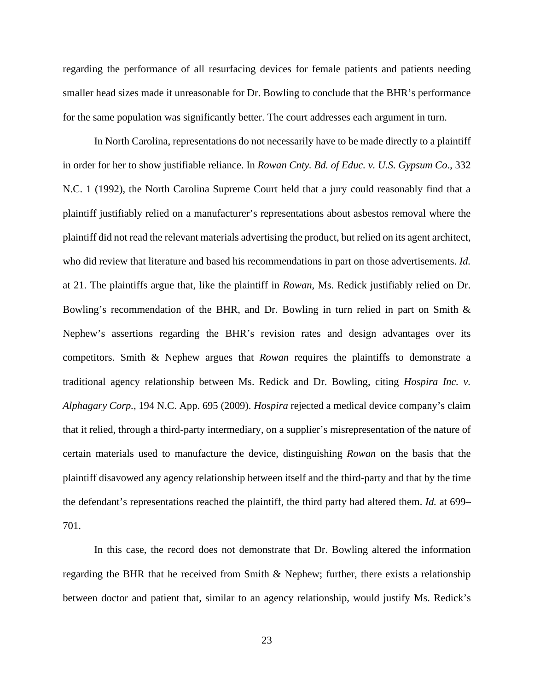regarding the performance of all resurfacing devices for female patients and patients needing smaller head sizes made it unreasonable for Dr. Bowling to conclude that the BHR's performance for the same population was significantly better. The court addresses each argument in turn.

In North Carolina, representations do not necessarily have to be made directly to a plaintiff in order for her to show justifiable reliance. In *Rowan Cnty. Bd. of Educ. v. U.S. Gypsum Co*., 332 N.C. 1 (1992), the North Carolina Supreme Court held that a jury could reasonably find that a plaintiff justifiably relied on a manufacturer's representations about asbestos removal where the plaintiff did not read the relevant materials advertising the product, but relied on its agent architect, who did review that literature and based his recommendations in part on those advertisements. *Id.* at 21. The plaintiffs argue that, like the plaintiff in *Rowan*, Ms. Redick justifiably relied on Dr. Bowling's recommendation of the BHR, and Dr. Bowling in turn relied in part on Smith  $\&$ Nephew's assertions regarding the BHR's revision rates and design advantages over its competitors. Smith & Nephew argues that *Rowan* requires the plaintiffs to demonstrate a traditional agency relationship between Ms. Redick and Dr. Bowling, citing *Hospira Inc. v. Alphagary Corp.*, 194 N.C. App. 695 (2009). *Hospira* rejected a medical device company's claim that it relied, through a third-party intermediary, on a supplier's misrepresentation of the nature of certain materials used to manufacture the device, distinguishing *Rowan* on the basis that the plaintiff disavowed any agency relationship between itself and the third-party and that by the time the defendant's representations reached the plaintiff, the third party had altered them. *Id.* at 699– 701.

In this case, the record does not demonstrate that Dr. Bowling altered the information regarding the BHR that he received from Smith & Nephew; further, there exists a relationship between doctor and patient that, similar to an agency relationship, would justify Ms. Redick's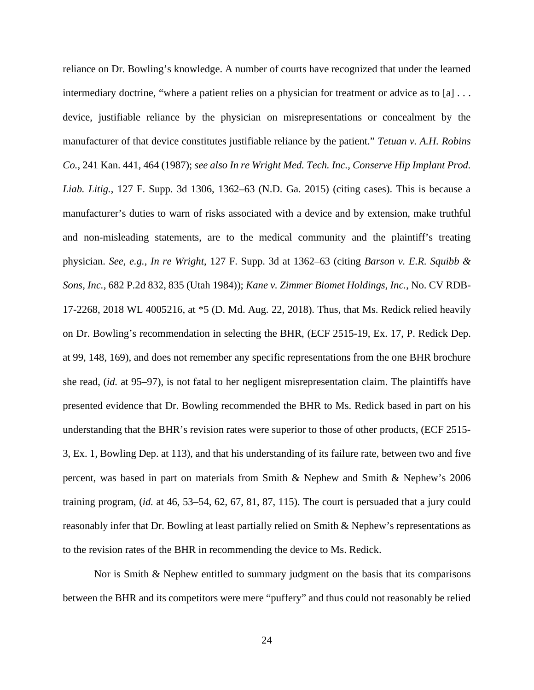reliance on Dr. Bowling's knowledge. A number of courts have recognized that under the learned intermediary doctrine, "where a patient relies on a physician for treatment or advice as to [a] ... device, justifiable reliance by the physician on misrepresentations or concealment by the manufacturer of that device constitutes justifiable reliance by the patient." *Tetuan v. A.H. Robins Co.*, 241 Kan. 441, 464 (1987); *see also In re Wright Med. Tech. Inc., Conserve Hip Implant Prod. Liab. Litig.*, 127 F. Supp. 3d 1306, 1362–63 (N.D. Ga. 2015) (citing cases). This is because a manufacturer's duties to warn of risks associated with a device and by extension, make truthful and non-misleading statements, are to the medical community and the plaintiff's treating physician. *See, e.g.*, *In re Wright*, 127 F. Supp. 3d at 1362–63 (citing *Barson v. E.R. Squibb & Sons, Inc.*, 682 P.2d 832, 835 (Utah 1984)); *Kane v. Zimmer Biomet Holdings, Inc.*, No. CV RDB-17-2268, 2018 WL 4005216, at \*5 (D. Md. Aug. 22, 2018). Thus, that Ms. Redick relied heavily on Dr. Bowling's recommendation in selecting the BHR, (ECF 2515-19, Ex. 17, P. Redick Dep. at 99, 148, 169), and does not remember any specific representations from the one BHR brochure she read, (*id.* at 95–97), is not fatal to her negligent misrepresentation claim. The plaintiffs have presented evidence that Dr. Bowling recommended the BHR to Ms. Redick based in part on his understanding that the BHR's revision rates were superior to those of other products, (ECF 2515- 3, Ex. 1, Bowling Dep. at 113), and that his understanding of its failure rate, between two and five percent, was based in part on materials from Smith & Nephew and Smith & Nephew's 2006 training program, (*id.* at 46, 53–54, 62, 67, 81, 87, 115). The court is persuaded that a jury could reasonably infer that Dr. Bowling at least partially relied on Smith & Nephew's representations as to the revision rates of the BHR in recommending the device to Ms. Redick.

Nor is Smith & Nephew entitled to summary judgment on the basis that its comparisons between the BHR and its competitors were mere "puffery" and thus could not reasonably be relied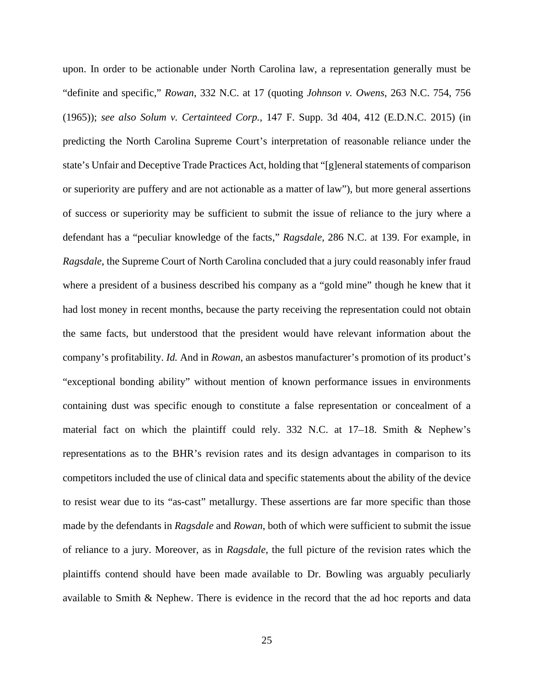upon. In order to be actionable under North Carolina law, a representation generally must be "definite and specific," *Rowan*, 332 N.C. at 17 (quoting *Johnson v. Owens*, 263 N.C. 754, 756 (1965)); *see also Solum v. Certainteed Corp.*, 147 F. Supp. 3d 404, 412 (E.D.N.C. 2015) (in predicting the North Carolina Supreme Court's interpretation of reasonable reliance under the state's Unfair and Deceptive Trade Practices Act, holding that "[g]eneral statements of comparison or superiority are puffery and are not actionable as a matter of law"), but more general assertions of success or superiority may be sufficient to submit the issue of reliance to the jury where a defendant has a "peculiar knowledge of the facts," *Ragsdale*, 286 N.C. at 139. For example, in *Ragsdale*, the Supreme Court of North Carolina concluded that a jury could reasonably infer fraud where a president of a business described his company as a "gold mine" though he knew that it had lost money in recent months, because the party receiving the representation could not obtain the same facts, but understood that the president would have relevant information about the company's profitability. *Id.* And in *Rowan*, an asbestos manufacturer's promotion of its product's "exceptional bonding ability" without mention of known performance issues in environments containing dust was specific enough to constitute a false representation or concealment of a material fact on which the plaintiff could rely. 332 N.C. at  $17-18$ . Smith & Nephew's representations as to the BHR's revision rates and its design advantages in comparison to its competitors included the use of clinical data and specific statements about the ability of the device to resist wear due to its "as-cast" metallurgy. These assertions are far more specific than those made by the defendants in *Ragsdale* and *Rowan*, both of which were sufficient to submit the issue of reliance to a jury. Moreover, as in *Ragsdale*, the full picture of the revision rates which the plaintiffs contend should have been made available to Dr. Bowling was arguably peculiarly available to Smith & Nephew. There is evidence in the record that the ad hoc reports and data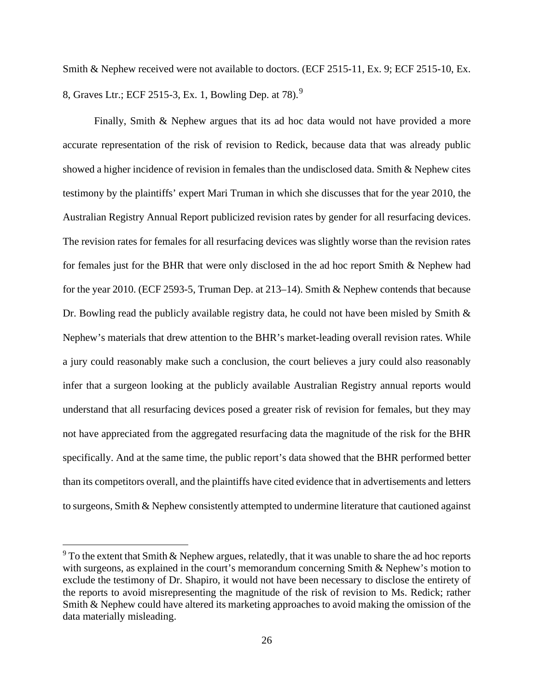Smith & Nephew received were not available to doctors. (ECF 2515-11, Ex. 9; ECF 2515-10, Ex. 8, Graves Ltr.; ECF 2515-3, Ex. 1, Bowling Dep. at 78).[9](#page-25-0)

Finally, Smith & Nephew argues that its ad hoc data would not have provided a more accurate representation of the risk of revision to Redick, because data that was already public showed a higher incidence of revision in females than the undisclosed data. Smith & Nephew cites testimony by the plaintiffs' expert Mari Truman in which she discusses that for the year 2010, the Australian Registry Annual Report publicized revision rates by gender for all resurfacing devices. The revision rates for females for all resurfacing devices was slightly worse than the revision rates for females just for the BHR that were only disclosed in the ad hoc report Smith & Nephew had for the year 2010. (ECF 2593-5, Truman Dep. at 213–14). Smith & Nephew contends that because Dr. Bowling read the publicly available registry data, he could not have been misled by Smith & Nephew's materials that drew attention to the BHR's market-leading overall revision rates. While a jury could reasonably make such a conclusion, the court believes a jury could also reasonably infer that a surgeon looking at the publicly available Australian Registry annual reports would understand that all resurfacing devices posed a greater risk of revision for females, but they may not have appreciated from the aggregated resurfacing data the magnitude of the risk for the BHR specifically. And at the same time, the public report's data showed that the BHR performed better than its competitors overall, and the plaintiffs have cited evidence that in advertisements and letters to surgeons, Smith & Nephew consistently attempted to undermine literature that cautioned against

<span id="page-25-0"></span> $9$  To the extent that Smith & Nephew argues, relatedly, that it was unable to share the ad hoc reports with surgeons, as explained in the court's memorandum concerning Smith & Nephew's motion to exclude the testimony of Dr. Shapiro, it would not have been necessary to disclose the entirety of the reports to avoid misrepresenting the magnitude of the risk of revision to Ms. Redick; rather Smith & Nephew could have altered its marketing approaches to avoid making the omission of the data materially misleading.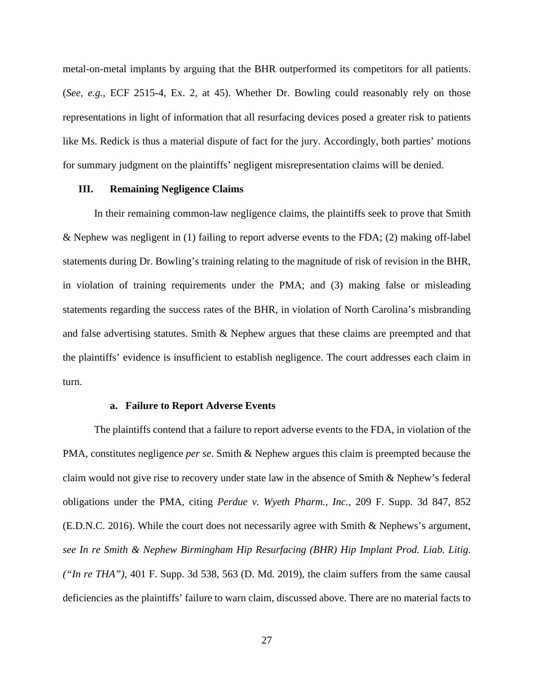metal-on-metal implants by arguing that the BHR outperformed its competitors for all patients. (*See, e.g.*, ECF 2515-4, Ex. 2, at 45). Whether Dr. Bowling could reasonably rely on those representations in light of information that all resurfacing devices posed a greater risk to patients like Ms. Redick is thus a material dispute of fact for the jury. Accordingly, both parties' motions for summary judgment on the plaintiffs' negligent misrepresentation claims will be denied.

## **III. Remaining Negligence Claims**

In their remaining common-law negligence claims, the plaintiffs seek to prove that Smith & Nephew was negligent in (1) failing to report adverse events to the FDA; (2) making off-label statements during Dr. Bowling's training relating to the magnitude of risk of revision in the BHR, in violation of training requirements under the PMA; and (3) making false or misleading statements regarding the success rates of the BHR, in violation of North Carolina's misbranding and false advertising statutes. Smith & Nephew argues that these claims are preempted and that the plaintiffs' evidence is insufficient to establish negligence. The court addresses each claim in turn.

#### **a. Failure to Report Adverse Events**

The plaintiffs contend that a failure to report adverse events to the FDA, in violation of the PMA, constitutes negligence *per se*. Smith & Nephew argues this claim is preempted because the claim would not give rise to recovery under state law in the absence of Smith & Nephew's federal obligations under the PMA, citing *Perdue v. Wyeth Pharm., Inc.*, 209 F. Supp. 3d 847, 852 (E.D.N.C. 2016). While the court does not necessarily agree with Smith & Nephews's argument, *see In re Smith & Nephew Birmingham Hip Resurfacing (BHR) Hip Implant Prod. Liab. Litig. ("In re THA")*, 401 F. Supp. 3d 538, 563 (D. Md. 2019), the claim suffers from the same causal deficiencies as the plaintiffs' failure to warn claim, discussed above. There are no material facts to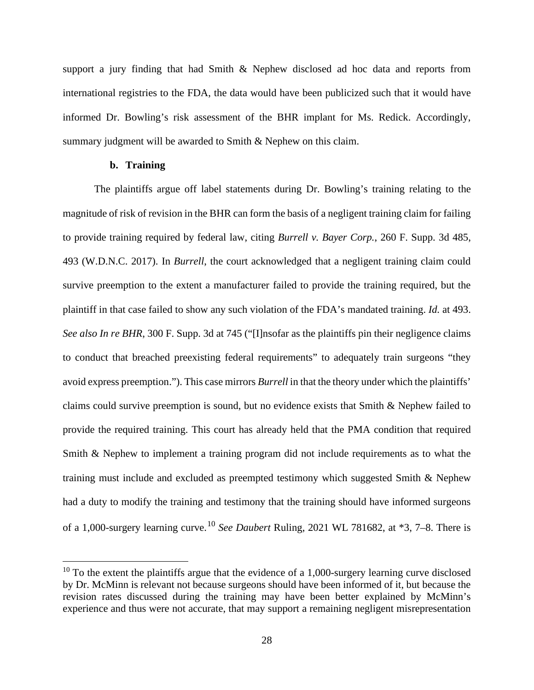support a jury finding that had Smith & Nephew disclosed ad hoc data and reports from international registries to the FDA, the data would have been publicized such that it would have informed Dr. Bowling's risk assessment of the BHR implant for Ms. Redick. Accordingly, summary judgment will be awarded to Smith & Nephew on this claim.

## **b. Training**

The plaintiffs argue off label statements during Dr. Bowling's training relating to the magnitude of risk of revision in the BHR can form the basis of a negligent training claim for failing to provide training required by federal law, citing *Burrell v. Bayer Corp.*, 260 F. Supp. 3d 485, 493 (W.D.N.C. 2017). In *Burrell*, the court acknowledged that a negligent training claim could survive preemption to the extent a manufacturer failed to provide the training required, but the plaintiff in that case failed to show any such violation of the FDA's mandated training. *Id.* at 493. *See also In re BHR*, 300 F. Supp. 3d at 745 ("[I]nsofar as the plaintiffs pin their negligence claims to conduct that breached preexisting federal requirements" to adequately train surgeons "they avoid express preemption."). This case mirrors *Burrell* in that the theory under which the plaintiffs' claims could survive preemption is sound, but no evidence exists that Smith & Nephew failed to provide the required training. This court has already held that the PMA condition that required Smith & Nephew to implement a training program did not include requirements as to what the training must include and excluded as preempted testimony which suggested Smith & Nephew had a duty to modify the training and testimony that the training should have informed surgeons of a 1,000-surgery learning curve.[10](#page-27-0) *See Daubert* Ruling, 2021 WL 781682, at \*3, 7–8. There is

<span id="page-27-0"></span> $10$  To the extent the plaintiffs argue that the evidence of a 1,000-surgery learning curve disclosed by Dr. McMinn is relevant not because surgeons should have been informed of it, but because the revision rates discussed during the training may have been better explained by McMinn's experience and thus were not accurate, that may support a remaining negligent misrepresentation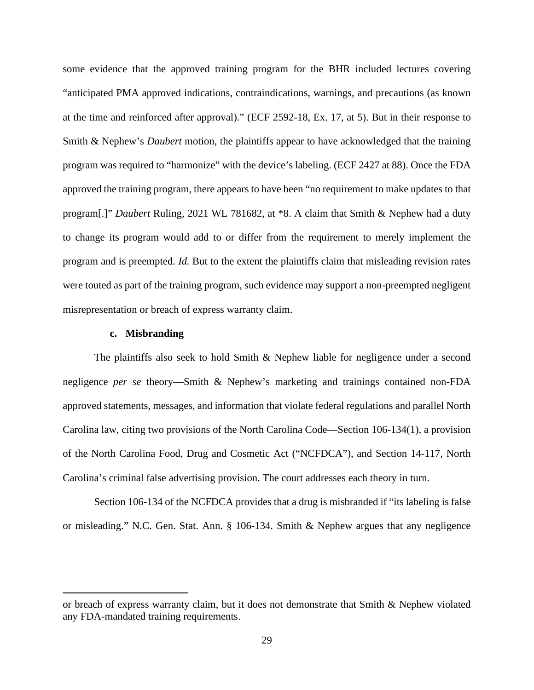some evidence that the approved training program for the BHR included lectures covering "anticipated PMA approved indications, contraindications, warnings, and precautions (as known at the time and reinforced after approval)." (ECF 2592-18, Ex. 17, at 5). But in their response to Smith & Nephew's *Daubert* motion, the plaintiffs appear to have acknowledged that the training program was required to "harmonize" with the device's labeling. (ECF 2427 at 88). Once the FDA approved the training program, there appears to have been "no requirement to make updates to that program[.]" *Daubert* Ruling, 2021 WL 781682, at \*8. A claim that Smith & Nephew had a duty to change its program would add to or differ from the requirement to merely implement the program and is preempted. *Id.* But to the extent the plaintiffs claim that misleading revision rates were touted as part of the training program, such evidence may support a non-preempted negligent misrepresentation or breach of express warranty claim.

#### **c. Misbranding**

The plaintiffs also seek to hold Smith & Nephew liable for negligence under a second negligence *per se* theory—Smith & Nephew's marketing and trainings contained non-FDA approved statements, messages, and information that violate federal regulations and parallel North Carolina law, citing two provisions of the North Carolina Code—Section 106-134(1), a provision of the North Carolina Food, Drug and Cosmetic Act ("NCFDCA"), and Section 14-117, North Carolina's criminal false advertising provision. The court addresses each theory in turn.

Section 106-134 of the NCFDCA provides that a drug is misbranded if "its labeling is false or misleading." N.C. Gen. Stat. Ann. § 106-134. Smith & Nephew argues that any negligence

or breach of express warranty claim, but it does not demonstrate that Smith & Nephew violated any FDA-mandated training requirements.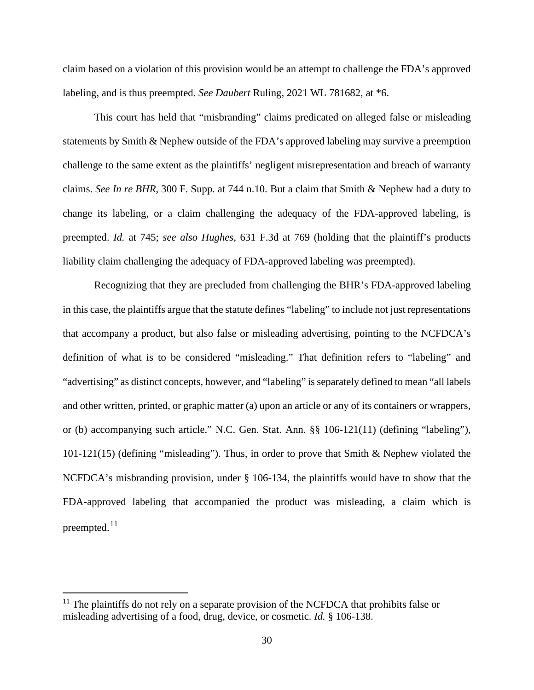claim based on a violation of this provision would be an attempt to challenge the FDA's approved labeling, and is thus preempted. *See Daubert* Ruling, 2021 WL 781682, at \*6.

This court has held that "misbranding" claims predicated on alleged false or misleading statements by Smith & Nephew outside of the FDA's approved labeling may survive a preemption challenge to the same extent as the plaintiffs' negligent misrepresentation and breach of warranty claims. *See In re BHR*, 300 F. Supp. at 744 n.10. But a claim that Smith & Nephew had a duty to change its labeling, or a claim challenging the adequacy of the FDA-approved labeling, is preempted. *Id.* at 745; *see also Hughes*, 631 F.3d at 769 (holding that the plaintiff's products liability claim challenging the adequacy of FDA-approved labeling was preempted).

Recognizing that they are precluded from challenging the BHR's FDA-approved labeling in this case, the plaintiffs argue that the statute defines "labeling" to include not just representations that accompany a product, but also false or misleading advertising, pointing to the NCFDCA's definition of what is to be considered "misleading." That definition refers to "labeling" and "advertising" as distinct concepts, however, and "labeling" is separately defined to mean "all labels and other written, printed, or graphic matter (a) upon an article or any of its containers or wrappers, or (b) accompanying such article." N.C. Gen. Stat. Ann. §§ 106-121(11) (defining "labeling"), 101-121(15) (defining "misleading"). Thus, in order to prove that Smith & Nephew violated the NCFDCA's misbranding provision, under § 106-134, the plaintiffs would have to show that the FDA-approved labeling that accompanied the product was misleading, a claim which is preempted.<sup>[11](#page-29-0)</sup>

<span id="page-29-0"></span> $11$  The plaintiffs do not rely on a separate provision of the NCFDCA that prohibits false or misleading advertising of a food, drug, device, or cosmetic. *Id.* § 106-138.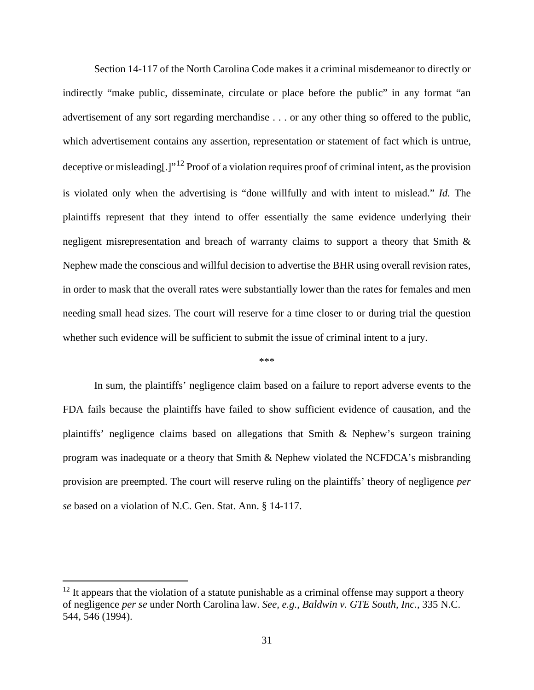Section 14-117 of the North Carolina Code makes it a criminal misdemeanor to directly or indirectly "make public, disseminate, circulate or place before the public" in any format "an advertisement of any sort regarding merchandise . . . or any other thing so offered to the public, which advertisement contains any assertion, representation or statement of fact which is untrue, deceptive or misleading[.]"<sup>[12](#page-30-0)</sup> Proof of a violation requires proof of criminal intent, as the provision is violated only when the advertising is "done willfully and with intent to mislead." *Id.* The plaintiffs represent that they intend to offer essentially the same evidence underlying their negligent misrepresentation and breach of warranty claims to support a theory that Smith & Nephew made the conscious and willful decision to advertise the BHR using overall revision rates, in order to mask that the overall rates were substantially lower than the rates for females and men needing small head sizes. The court will reserve for a time closer to or during trial the question whether such evidence will be sufficient to submit the issue of criminal intent to a jury.

#### \*\*\*

In sum, the plaintiffs' negligence claim based on a failure to report adverse events to the FDA fails because the plaintiffs have failed to show sufficient evidence of causation, and the plaintiffs' negligence claims based on allegations that Smith & Nephew's surgeon training program was inadequate or a theory that Smith & Nephew violated the NCFDCA's misbranding provision are preempted. The court will reserve ruling on the plaintiffs' theory of negligence *per se* based on a violation of N.C. Gen. Stat. Ann. § 14-117.

<span id="page-30-0"></span> $12$  It appears that the violation of a statute punishable as a criminal offense may support a theory of negligence *per se* under North Carolina law. *See, e.g.*, *Baldwin v. GTE South, Inc.*, 335 N.C. 544, 546 (1994).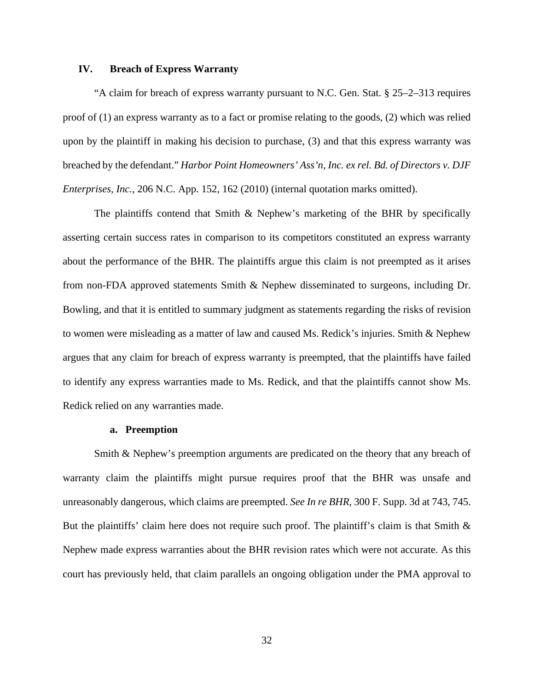### **IV. Breach of Express Warranty**

"A claim for breach of express warranty pursuant to N.C. Gen. Stat. § 25–2–313 requires proof of (1) an express warranty as to a fact or promise relating to the goods, (2) which was relied upon by the plaintiff in making his decision to purchase, (3) and that this express warranty was breached by the defendant." *Harbor Point Homeowners' Ass'n, Inc. ex rel. Bd. of Directors v. DJF Enterprises, Inc.*, 206 N.C. App. 152, 162 (2010) (internal quotation marks omitted).

The plaintiffs contend that Smith  $\&$  Nephew's marketing of the BHR by specifically asserting certain success rates in comparison to its competitors constituted an express warranty about the performance of the BHR. The plaintiffs argue this claim is not preempted as it arises from non-FDA approved statements Smith & Nephew disseminated to surgeons, including Dr. Bowling, and that it is entitled to summary judgment as statements regarding the risks of revision to women were misleading as a matter of law and caused Ms. Redick's injuries. Smith & Nephew argues that any claim for breach of express warranty is preempted, that the plaintiffs have failed to identify any express warranties made to Ms. Redick, and that the plaintiffs cannot show Ms. Redick relied on any warranties made.

#### **a. Preemption**

Smith & Nephew's preemption arguments are predicated on the theory that any breach of warranty claim the plaintiffs might pursue requires proof that the BHR was unsafe and unreasonably dangerous, which claims are preempted. *See In re BHR*, 300 F. Supp. 3d at 743, 745. But the plaintiffs' claim here does not require such proof. The plaintiff's claim is that Smith  $\&$ Nephew made express warranties about the BHR revision rates which were not accurate. As this court has previously held, that claim parallels an ongoing obligation under the PMA approval to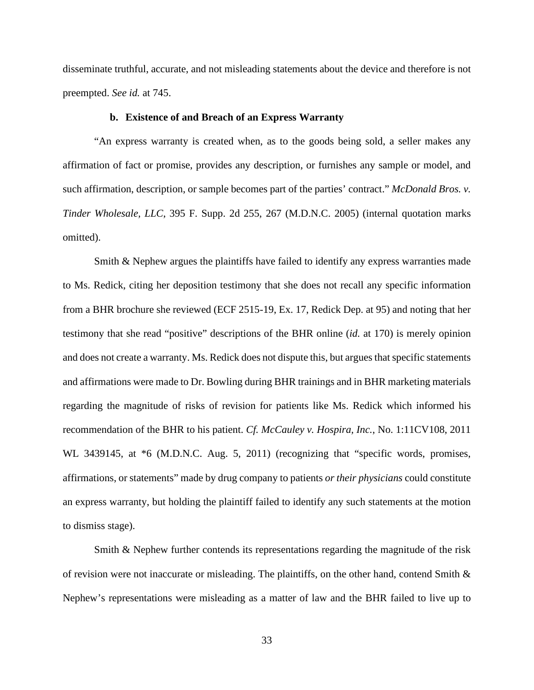disseminate truthful, accurate, and not misleading statements about the device and therefore is not preempted. *See id.* at 745.

## **b. Existence of and Breach of an Express Warranty**

"An express warranty is created when, as to the goods being sold, a seller makes any affirmation of fact or promise, provides any description, or furnishes any sample or model, and such affirmation, description, or sample becomes part of the parties' contract." *McDonald Bros. v. Tinder Wholesale, LLC*, 395 F. Supp. 2d 255, 267 (M.D.N.C. 2005) (internal quotation marks omitted).

Smith & Nephew argues the plaintiffs have failed to identify any express warranties made to Ms. Redick, citing her deposition testimony that she does not recall any specific information from a BHR brochure she reviewed (ECF 2515-19, Ex. 17, Redick Dep. at 95) and noting that her testimony that she read "positive" descriptions of the BHR online (*id.* at 170) is merely opinion and does not create a warranty. Ms. Redick does not dispute this, but argues that specific statements and affirmations were made to Dr. Bowling during BHR trainings and in BHR marketing materials regarding the magnitude of risks of revision for patients like Ms. Redick which informed his recommendation of the BHR to his patient. *Cf. McCauley v. Hospira, Inc.*, No. 1:11CV108, 2011 WL 3439145, at  $*6$  (M.D.N.C. Aug. 5, 2011) (recognizing that "specific words, promises, affirmations, or statements" made by drug company to patients *or their physicians* could constitute an express warranty, but holding the plaintiff failed to identify any such statements at the motion to dismiss stage).

Smith & Nephew further contends its representations regarding the magnitude of the risk of revision were not inaccurate or misleading. The plaintiffs, on the other hand, contend Smith & Nephew's representations were misleading as a matter of law and the BHR failed to live up to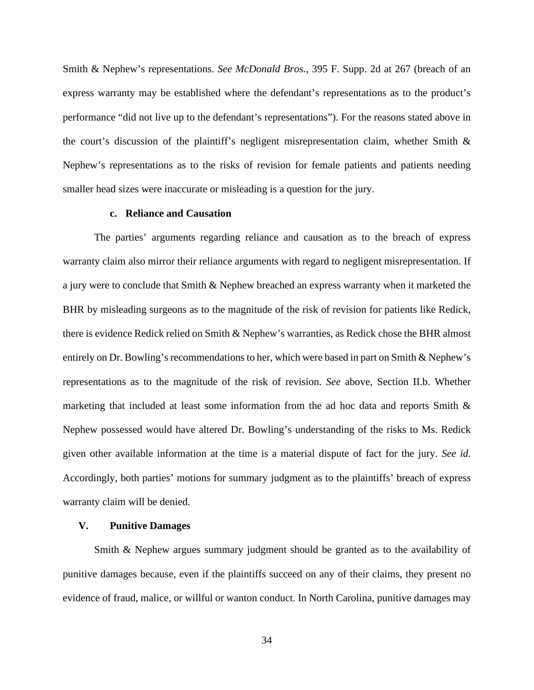Smith & Nephew's representations. *See McDonald Bros.*, 395 F. Supp. 2d at 267 (breach of an express warranty may be established where the defendant's representations as to the product's performance "did not live up to the defendant's representations"). For the reasons stated above in the court's discussion of the plaintiff's negligent misrepresentation claim, whether Smith & Nephew's representations as to the risks of revision for female patients and patients needing smaller head sizes were inaccurate or misleading is a question for the jury.

## **c. Reliance and Causation**

The parties' arguments regarding reliance and causation as to the breach of express warranty claim also mirror their reliance arguments with regard to negligent misrepresentation. If a jury were to conclude that Smith & Nephew breached an express warranty when it marketed the BHR by misleading surgeons as to the magnitude of the risk of revision for patients like Redick, there is evidence Redick relied on Smith & Nephew's warranties, as Redick chose the BHR almost entirely on Dr. Bowling's recommendations to her, which were based in part on Smith & Nephew's representations as to the magnitude of the risk of revision. *See* above, Section II.b. Whether marketing that included at least some information from the ad hoc data and reports Smith & Nephew possessed would have altered Dr. Bowling's understanding of the risks to Ms. Redick given other available information at the time is a material dispute of fact for the jury. *See id.*  Accordingly, both parties' motions for summary judgment as to the plaintiffs' breach of express warranty claim will be denied.

## **V. Punitive Damages**

Smith & Nephew argues summary judgment should be granted as to the availability of punitive damages because, even if the plaintiffs succeed on any of their claims, they present no evidence of fraud, malice, or willful or wanton conduct. In North Carolina, punitive damages may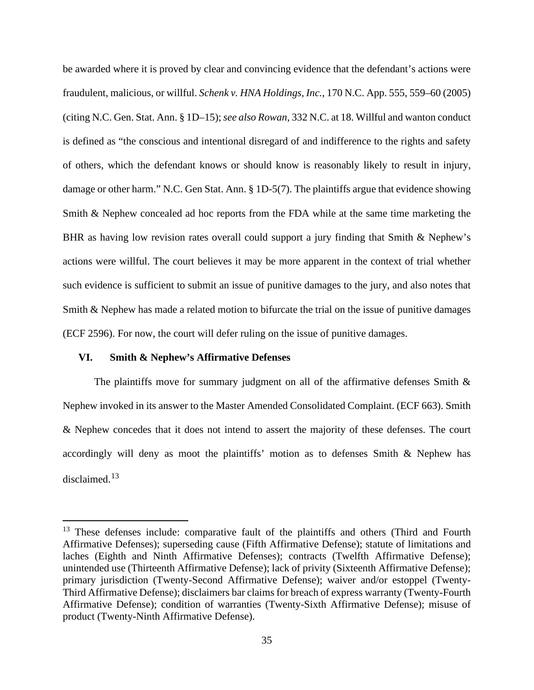be awarded where it is proved by clear and convincing evidence that the defendant's actions were fraudulent, malicious, or willful. *Schenk v. HNA Holdings, Inc.*, 170 N.C. App. 555, 559–60 (2005) (citing N.C. Gen. Stat. Ann. § 1D–15); *see also Rowan*, 332 N.C. at 18. Willful and wanton conduct is defined as "the conscious and intentional disregard of and indifference to the rights and safety of others, which the defendant knows or should know is reasonably likely to result in injury, damage or other harm." N.C. Gen Stat. Ann. § 1D-5(7). The plaintiffs argue that evidence showing Smith & Nephew concealed ad hoc reports from the FDA while at the same time marketing the BHR as having low revision rates overall could support a jury finding that Smith & Nephew's actions were willful. The court believes it may be more apparent in the context of trial whether such evidence is sufficient to submit an issue of punitive damages to the jury, and also notes that Smith & Nephew has made a related motion to bifurcate the trial on the issue of punitive damages (ECF 2596). For now, the court will defer ruling on the issue of punitive damages.

### **VI. Smith & Nephew's Affirmative Defenses**

The plaintiffs move for summary judgment on all of the affirmative defenses Smith  $\&$ Nephew invoked in its answer to the Master Amended Consolidated Complaint. (ECF 663). Smith & Nephew concedes that it does not intend to assert the majority of these defenses. The court accordingly will deny as moot the plaintiffs' motion as to defenses Smith & Nephew has disclaimed.<sup>[13](#page-34-0)</sup>

<span id="page-34-0"></span><sup>&</sup>lt;sup>13</sup> These defenses include: comparative fault of the plaintiffs and others (Third and Fourth Affirmative Defenses); superseding cause (Fifth Affirmative Defense); statute of limitations and laches (Eighth and Ninth Affirmative Defenses); contracts (Twelfth Affirmative Defense); unintended use (Thirteenth Affirmative Defense); lack of privity (Sixteenth Affirmative Defense); primary jurisdiction (Twenty-Second Affirmative Defense); waiver and/or estoppel (Twenty-Third Affirmative Defense); disclaimers bar claims for breach of express warranty (Twenty-Fourth Affirmative Defense); condition of warranties (Twenty-Sixth Affirmative Defense); misuse of product (Twenty-Ninth Affirmative Defense).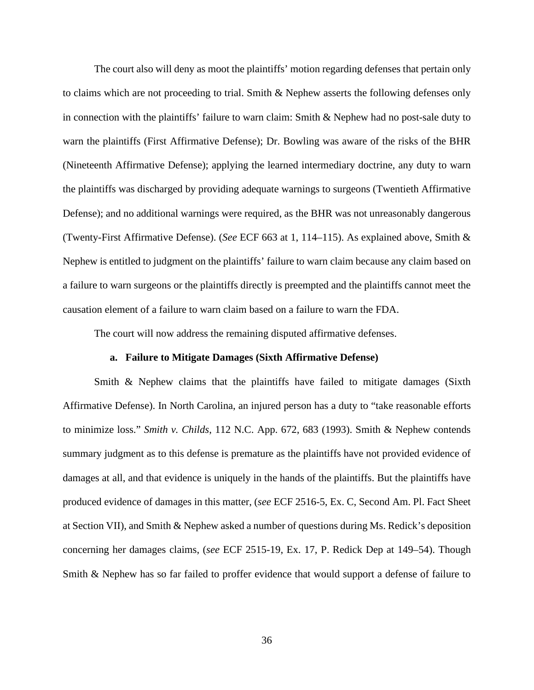The court also will deny as moot the plaintiffs' motion regarding defenses that pertain only to claims which are not proceeding to trial. Smith & Nephew asserts the following defenses only in connection with the plaintiffs' failure to warn claim: Smith & Nephew had no post-sale duty to warn the plaintiffs (First Affirmative Defense); Dr. Bowling was aware of the risks of the BHR (Nineteenth Affirmative Defense); applying the learned intermediary doctrine, any duty to warn the plaintiffs was discharged by providing adequate warnings to surgeons (Twentieth Affirmative Defense); and no additional warnings were required, as the BHR was not unreasonably dangerous (Twenty-First Affirmative Defense). (*See* ECF 663 at 1, 114–115). As explained above, Smith & Nephew is entitled to judgment on the plaintiffs' failure to warn claim because any claim based on a failure to warn surgeons or the plaintiffs directly is preempted and the plaintiffs cannot meet the causation element of a failure to warn claim based on a failure to warn the FDA.

The court will now address the remaining disputed affirmative defenses.

## **a. Failure to Mitigate Damages (Sixth Affirmative Defense)**

Smith & Nephew claims that the plaintiffs have failed to mitigate damages (Sixth Affirmative Defense). In North Carolina, an injured person has a duty to "take reasonable efforts to minimize loss." *Smith v. Childs*, 112 N.C. App. 672, 683 (1993). Smith & Nephew contends summary judgment as to this defense is premature as the plaintiffs have not provided evidence of damages at all, and that evidence is uniquely in the hands of the plaintiffs. But the plaintiffs have produced evidence of damages in this matter, (*see* ECF 2516-5, Ex. C, Second Am. Pl. Fact Sheet at Section VII), and Smith & Nephew asked a number of questions during Ms. Redick's deposition concerning her damages claims, (*see* ECF 2515-19, Ex. 17, P. Redick Dep at 149–54). Though Smith & Nephew has so far failed to proffer evidence that would support a defense of failure to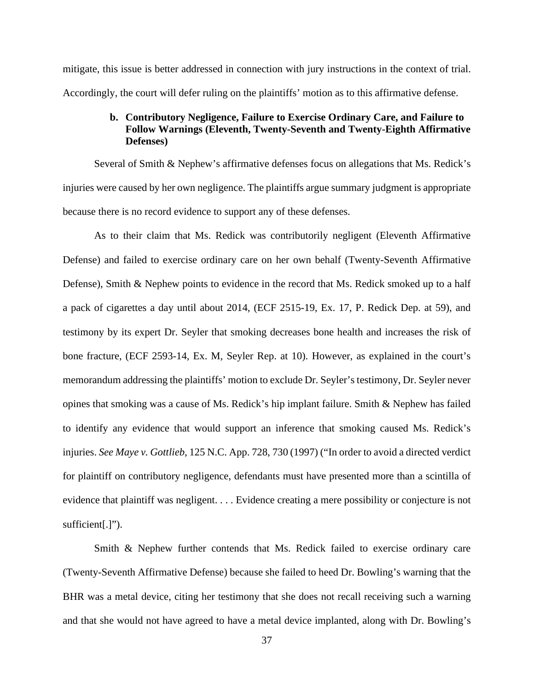mitigate, this issue is better addressed in connection with jury instructions in the context of trial. Accordingly, the court will defer ruling on the plaintiffs' motion as to this affirmative defense.

## **b. Contributory Negligence, Failure to Exercise Ordinary Care, and Failure to Follow Warnings (Eleventh, Twenty-Seventh and Twenty-Eighth Affirmative Defenses)**

Several of Smith & Nephew's affirmative defenses focus on allegations that Ms. Redick's injuries were caused by her own negligence. The plaintiffs argue summary judgment is appropriate because there is no record evidence to support any of these defenses.

As to their claim that Ms. Redick was contributorily negligent (Eleventh Affirmative Defense) and failed to exercise ordinary care on her own behalf (Twenty-Seventh Affirmative Defense), Smith & Nephew points to evidence in the record that Ms. Redick smoked up to a half a pack of cigarettes a day until about 2014, (ECF 2515-19, Ex. 17, P. Redick Dep. at 59), and testimony by its expert Dr. Seyler that smoking decreases bone health and increases the risk of bone fracture, (ECF 2593-14, Ex. M, Seyler Rep. at 10). However, as explained in the court's memorandum addressing the plaintiffs' motion to exclude Dr. Seyler's testimony, Dr. Seyler never opines that smoking was a cause of Ms. Redick's hip implant failure. Smith & Nephew has failed to identify any evidence that would support an inference that smoking caused Ms. Redick's injuries. *See Maye v. Gottlieb*, 125 N.C. App. 728, 730 (1997) ("In order to avoid a directed verdict for plaintiff on contributory negligence, defendants must have presented more than a scintilla of evidence that plaintiff was negligent. . . . Evidence creating a mere possibility or conjecture is not sufficient[.]").

Smith & Nephew further contends that Ms. Redick failed to exercise ordinary care (Twenty-Seventh Affirmative Defense) because she failed to heed Dr. Bowling's warning that the BHR was a metal device, citing her testimony that she does not recall receiving such a warning and that she would not have agreed to have a metal device implanted, along with Dr. Bowling's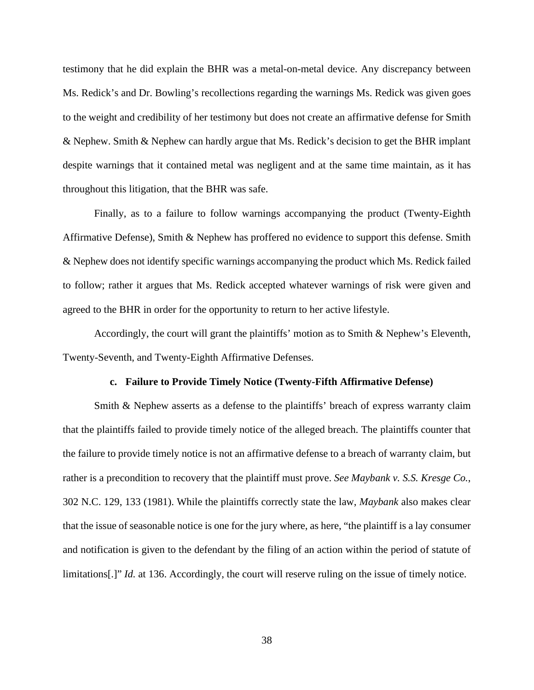testimony that he did explain the BHR was a metal-on-metal device. Any discrepancy between Ms. Redick's and Dr. Bowling's recollections regarding the warnings Ms. Redick was given goes to the weight and credibility of her testimony but does not create an affirmative defense for Smith & Nephew. Smith & Nephew can hardly argue that Ms. Redick's decision to get the BHR implant despite warnings that it contained metal was negligent and at the same time maintain, as it has throughout this litigation, that the BHR was safe.

Finally, as to a failure to follow warnings accompanying the product (Twenty-Eighth Affirmative Defense), Smith & Nephew has proffered no evidence to support this defense. Smith & Nephew does not identify specific warnings accompanying the product which Ms. Redick failed to follow; rather it argues that Ms. Redick accepted whatever warnings of risk were given and agreed to the BHR in order for the opportunity to return to her active lifestyle.

Accordingly, the court will grant the plaintiffs' motion as to Smith & Nephew's Eleventh, Twenty-Seventh, and Twenty-Eighth Affirmative Defenses.

#### **c. Failure to Provide Timely Notice (Twenty-Fifth Affirmative Defense)**

Smith & Nephew asserts as a defense to the plaintiffs' breach of express warranty claim that the plaintiffs failed to provide timely notice of the alleged breach. The plaintiffs counter that the failure to provide timely notice is not an affirmative defense to a breach of warranty claim, but rather is a precondition to recovery that the plaintiff must prove. *See Maybank v. S.S. Kresge Co.*, 302 N.C. 129, 133 (1981). While the plaintiffs correctly state the law, *Maybank* also makes clear that the issue of seasonable notice is one for the jury where, as here, "the plaintiff is a lay consumer and notification is given to the defendant by the filing of an action within the period of statute of limitations[.]" *Id.* at 136. Accordingly, the court will reserve ruling on the issue of timely notice.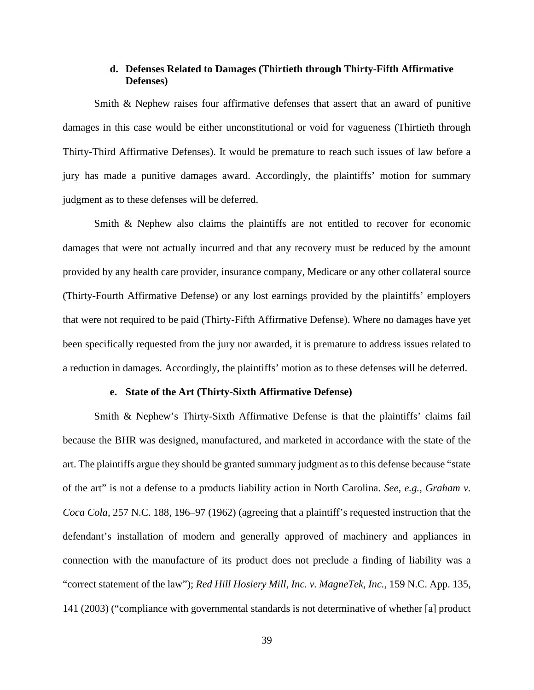## **d. Defenses Related to Damages (Thirtieth through Thirty-Fifth Affirmative Defenses)**

Smith & Nephew raises four affirmative defenses that assert that an award of punitive damages in this case would be either unconstitutional or void for vagueness (Thirtieth through Thirty-Third Affirmative Defenses). It would be premature to reach such issues of law before a jury has made a punitive damages award. Accordingly, the plaintiffs' motion for summary judgment as to these defenses will be deferred.

Smith & Nephew also claims the plaintiffs are not entitled to recover for economic damages that were not actually incurred and that any recovery must be reduced by the amount provided by any health care provider, insurance company, Medicare or any other collateral source (Thirty-Fourth Affirmative Defense) or any lost earnings provided by the plaintiffs' employers that were not required to be paid (Thirty-Fifth Affirmative Defense). Where no damages have yet been specifically requested from the jury nor awarded, it is premature to address issues related to a reduction in damages. Accordingly, the plaintiffs' motion as to these defenses will be deferred.

#### **e. State of the Art (Thirty-Sixth Affirmative Defense)**

Smith & Nephew's Thirty-Sixth Affirmative Defense is that the plaintiffs' claims fail because the BHR was designed, manufactured, and marketed in accordance with the state of the art. The plaintiffs argue they should be granted summary judgment as to this defense because "state of the art" is not a defense to a products liability action in North Carolina. *See, e.g.*, *Graham v. Coca Cola*, 257 N.C. 188, 196–97 (1962) (agreeing that a plaintiff's requested instruction that the defendant's installation of modern and generally approved of machinery and appliances in connection with the manufacture of its product does not preclude a finding of liability was a "correct statement of the law"); *Red Hill Hosiery Mill, Inc. v. MagneTek, Inc.*, 159 N.C. App. 135, 141 (2003) ("compliance with governmental standards is not determinative of whether [a] product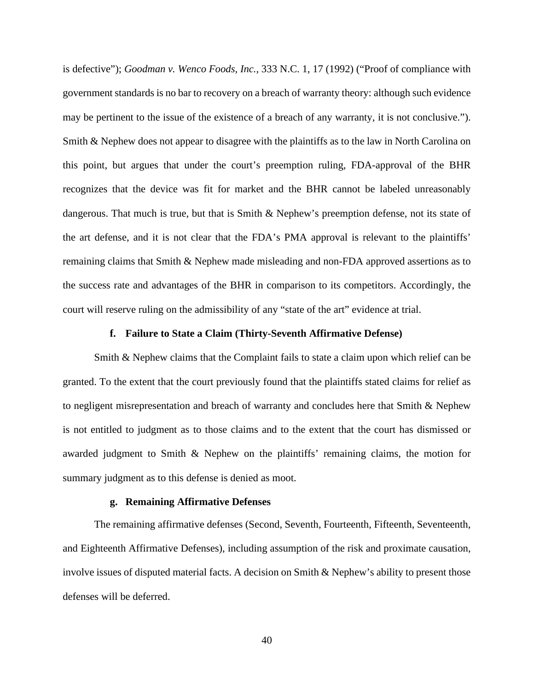is defective"); *Goodman v. Wenco Foods, Inc.*, 333 N.C. 1, 17 (1992) ("Proof of compliance with government standards is no bar to recovery on a breach of warranty theory: although such evidence may be pertinent to the issue of the existence of a breach of any warranty, it is not conclusive."). Smith & Nephew does not appear to disagree with the plaintiffs as to the law in North Carolina on this point, but argues that under the court's preemption ruling, FDA-approval of the BHR recognizes that the device was fit for market and the BHR cannot be labeled unreasonably dangerous. That much is true, but that is Smith  $\&$  Nephew's preemption defense, not its state of the art defense, and it is not clear that the FDA's PMA approval is relevant to the plaintiffs' remaining claims that Smith & Nephew made misleading and non-FDA approved assertions as to the success rate and advantages of the BHR in comparison to its competitors. Accordingly, the court will reserve ruling on the admissibility of any "state of the art" evidence at trial.

## **f. Failure to State a Claim (Thirty-Seventh Affirmative Defense)**

Smith & Nephew claims that the Complaint fails to state a claim upon which relief can be granted. To the extent that the court previously found that the plaintiffs stated claims for relief as to negligent misrepresentation and breach of warranty and concludes here that Smith & Nephew is not entitled to judgment as to those claims and to the extent that the court has dismissed or awarded judgment to Smith & Nephew on the plaintiffs' remaining claims, the motion for summary judgment as to this defense is denied as moot.

#### **g. Remaining Affirmative Defenses**

The remaining affirmative defenses (Second, Seventh, Fourteenth, Fifteenth, Seventeenth, and Eighteenth Affirmative Defenses), including assumption of the risk and proximate causation, involve issues of disputed material facts. A decision on Smith & Nephew's ability to present those defenses will be deferred.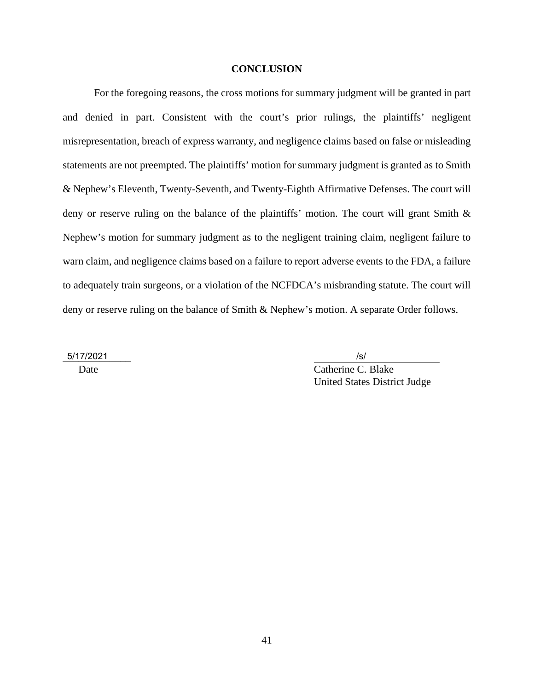### **CONCLUSION**

For the foregoing reasons, the cross motions for summary judgment will be granted in part and denied in part. Consistent with the court's prior rulings, the plaintiffs' negligent misrepresentation, breach of express warranty, and negligence claims based on false or misleading statements are not preempted. The plaintiffs' motion for summary judgment is granted as to Smith & Nephew's Eleventh, Twenty-Seventh, and Twenty-Eighth Affirmative Defenses. The court will deny or reserve ruling on the balance of the plaintiffs' motion. The court will grant Smith & Nephew's motion for summary judgment as to the negligent training claim, negligent failure to warn claim, and negligence claims based on a failure to report adverse events to the FDA, a failure to adequately train surgeons, or a violation of the NCFDCA's misbranding statute. The court will deny or reserve ruling on the balance of Smith & Nephew's motion. A separate Order follows.

\_\_\_\_\_\_\_\_\_\_\_\_\_ 5/17/2021 /s/

Date C. Blake United States District Judge